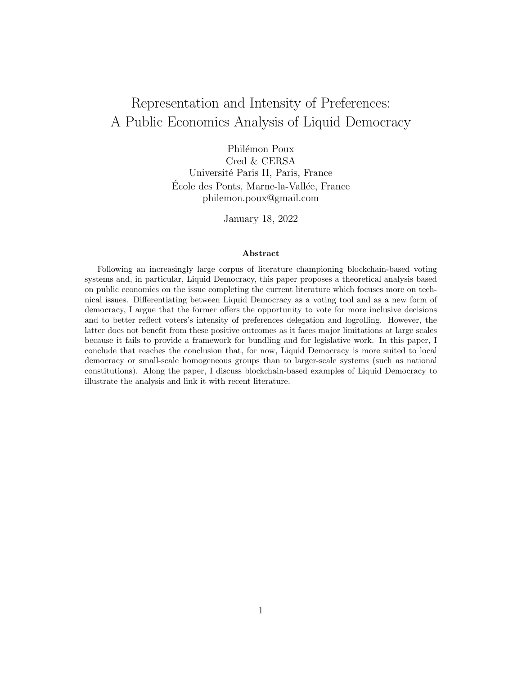# Representation and Intensity of Preferences: A Public Economics Analysis of Liquid Democracy

Philémon Poux Cred & CERSA Université Paris II, Paris, France École des Ponts, Marne-la-Vallée, France philemon.poux@gmail.com

January 18, 2022

#### Abstract

Following an increasingly large corpus of literature championing blockchain-based voting systems and, in particular, Liquid Democracy, this paper proposes a theoretical analysis based on public economics on the issue completing the current literature which focuses more on technical issues. Differentiating between Liquid Democracy as a voting tool and as a new form of democracy, I argue that the former offers the opportunity to vote for more inclusive decisions and to better reflect voters's intensity of preferences delegation and logrolling. However, the latter does not benefit from these positive outcomes as it faces major limitations at large scales because it fails to provide a framework for bundling and for legislative work. In this paper, I conclude that reaches the conclusion that, for now, Liquid Democracy is more suited to local democracy or small-scale homogeneous groups than to larger-scale systems (such as national constitutions). Along the paper, I discuss blockchain-based examples of Liquid Democracy to illustrate the analysis and link it with recent literature.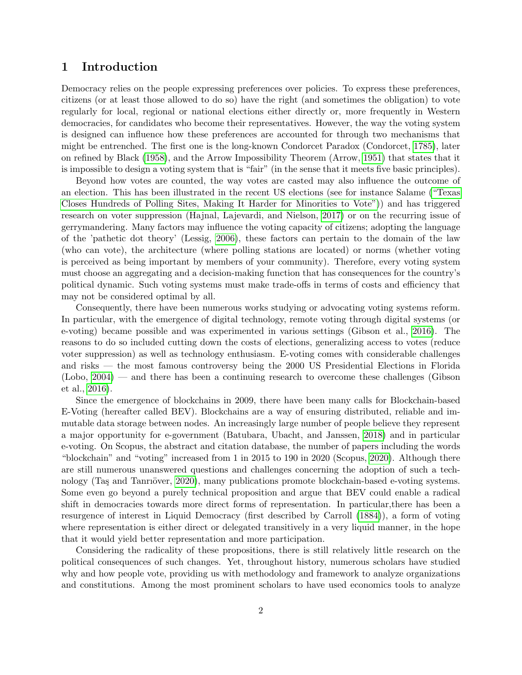## 1 Introduction

Democracy relies on the people expressing preferences over policies. To express these preferences, citizens (or at least those allowed to do so) have the right (and sometimes the obligation) to vote regularly for local, regional or national elections either directly or, more frequently in Western democracies, for candidates who become their representatives. However, the way the voting system is designed can influence how these preferences are accounted for through two mechanisms that might be entrenched. The first one is the long-known Condorcet Paradox (Condorcet, [1785\)](#page-20-0), later on refined by Black [\(1958\)](#page-19-0), and the Arrow Impossibility Theorem (Arrow, [1951\)](#page-19-1) that states that it is impossible to design a voting system that is "fair" (in the sense that it meets five basic principles).

Beyond how votes are counted, the way votes are casted may also influence the outcome of an election. This has been illustrated in the recent US elections (see for instance Salame [\("Texas](#page-24-0) [Closes Hundreds of Polling Sites, Making It Harder for Minorities to Vote"\)](#page-24-0)) and has triggered research on voter suppression (Hajnal, Lajevardi, and Nielson, [2017\)](#page-22-0) or on the recurring issue of gerrymandering. Many factors may influence the voting capacity of citizens; adopting the language of the 'pathetic dot theory' (Lessig, [2006\)](#page-23-0), these factors can pertain to the domain of the law (who can vote), the architecture (where polling stations are located) or norms (whether voting is perceived as being important by members of your community). Therefore, every voting system must choose an aggregating and a decision-making function that has consequences for the country's political dynamic. Such voting systems must make trade-offs in terms of costs and efficiency that may not be considered optimal by all.

Consequently, there have been numerous works studying or advocating voting systems reform. In particular, with the emergence of digital technology, remote voting through digital systems (or e-voting) became possible and was experimented in various settings (Gibson et al., [2016\)](#page-22-1). The reasons to do so included cutting down the costs of elections, generalizing access to votes (reduce voter suppression) as well as technology enthusiasm. E-voting comes with considerable challenges and risks — the most famous controversy being the 2000 US Presidential Elections in Florida (Lobo, [2004\)](#page-23-1) — and there has been a continuing research to overcome these challenges (Gibson et al., [2016\)](#page-22-1).

Since the emergence of blockchains in 2009, there have been many calls for Blockchain-based E-Voting (hereafter called BEV). Blockchains are a way of ensuring distributed, reliable and immutable data storage between nodes. An increasingly large number of people believe they represent a major opportunity for e-government (Batubara, Ubacht, and Janssen, [2018\)](#page-19-2) and in particular e-voting. On Scopus, the abstract and citation database, the number of papers including the words "blockchain" and "voting" increased from 1 in 2015 to 190 in 2020 (Scopus, [2020\)](#page-24-1). Although there are still numerous unanswered questions and challenges concerning the adoption of such a tech-nology (Taş and Tanrıöver, [2020\)](#page-25-0), many publications promote blockchain-based e-voting systems. Some even go beyond a purely technical proposition and argue that BEV could enable a radical shift in democracies towards more direct forms of representation. In particular,there has been a resurgence of interest in Liquid Democracy (first described by Carroll [\(1884\)](#page-20-1)), a form of voting where representation is either direct or delegated transitively in a very liquid manner, in the hope that it would yield better representation and more participation.

Considering the radicality of these propositions, there is still relatively little research on the political consequences of such changes. Yet, throughout history, numerous scholars have studied why and how people vote, providing us with methodology and framework to analyze organizations and constitutions. Among the most prominent scholars to have used economics tools to analyze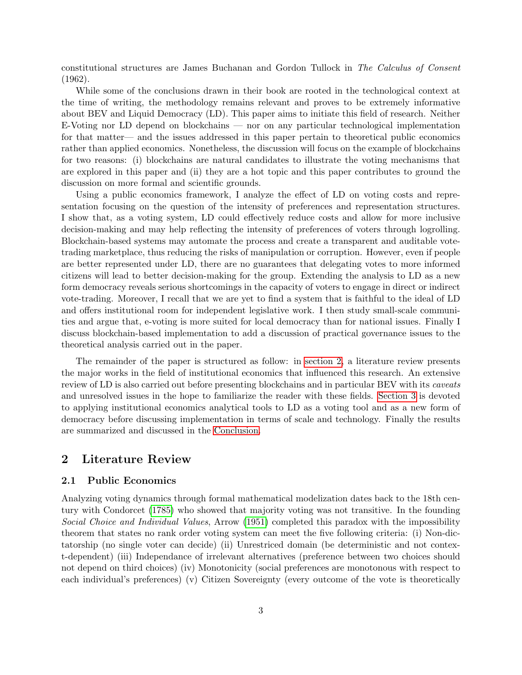constitutional structures are James Buchanan and Gordon Tullock in The Calculus of Consent (1962).

While some of the conclusions drawn in their book are rooted in the technological context at the time of writing, the methodology remains relevant and proves to be extremely informative about BEV and Liquid Democracy (LD). This paper aims to initiate this field of research. Neither E-Voting nor LD depend on blockchains — nor on any particular technological implementation for that matter— and the issues addressed in this paper pertain to theoretical public economics rather than applied economics. Nonetheless, the discussion will focus on the example of blockchains for two reasons: (i) blockchains are natural candidates to illustrate the voting mechanisms that are explored in this paper and (ii) they are a hot topic and this paper contributes to ground the discussion on more formal and scientific grounds.

Using a public economics framework, I analyze the effect of LD on voting costs and representation focusing on the question of the intensity of preferences and representation structures. I show that, as a voting system, LD could effectively reduce costs and allow for more inclusive decision-making and may help reflecting the intensity of preferences of voters through logrolling. Blockchain-based systems may automate the process and create a transparent and auditable votetrading marketplace, thus reducing the risks of manipulation or corruption. However, even if people are better represented under LD, there are no guarantees that delegating votes to more informed citizens will lead to better decision-making for the group. Extending the analysis to LD as a new form democracy reveals serious shortcomings in the capacity of voters to engage in direct or indirect vote-trading. Moreover, I recall that we are yet to find a system that is faithful to the ideal of LD and offers institutional room for independent legislative work. I then study small-scale communities and argue that, e-voting is more suited for local democracy than for national issues. Finally I discuss blockchain-based implementation to add a discussion of practical governance issues to the theoretical analysis carried out in the paper.

The remainder of the paper is structured as follow: in [section 2,](#page-2-0) a literature review presents the major works in the field of institutional economics that influenced this research. An extensive review of LD is also carried out before presenting blockchains and in particular BEV with its caveats and unresolved issues in the hope to familiarize the reader with these fields. [Section 3](#page-8-0) is devoted to applying institutional economics analytical tools to LD as a voting tool and as a new form of democracy before discussing implementation in terms of scale and technology. Finally the results are summarized and discussed in the [Conclusion.](#page-17-0)

# <span id="page-2-0"></span>2 Literature Review

## <span id="page-2-1"></span>2.1 Public Economics

Analyzing voting dynamics through formal mathematical modelization dates back to the 18th century with Condorcet [\(1785\)](#page-20-0) who showed that majority voting was not transitive. In the founding Social Choice and Individual Values, Arrow [\(1951\)](#page-19-1) completed this paradox with the impossibility theorem that states no rank order voting system can meet the five following criteria: (i) Non-dictatorship (no single voter can decide) (ii) Unrestriced domain (be deterministic and not context-dependent) (iii) Independance of irrelevant alternatives (preference between two choices should not depend on third choices) (iv) Monotonicity (social preferences are monotonous with respect to each individual's preferences) (v) Citizen Sovereignty (every outcome of the vote is theoretically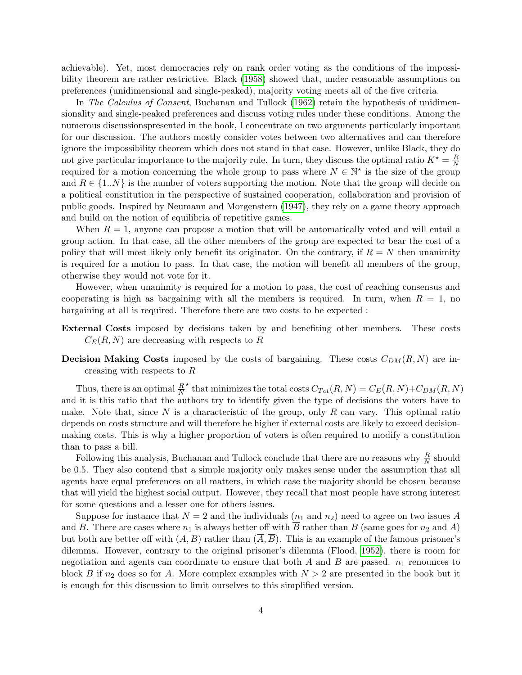achievable). Yet, most democracies rely on rank order voting as the conditions of the impossibility theorem are rather restrictive. Black [\(1958\)](#page-19-0) showed that, under reasonable assumptions on preferences (unidimensional and single-peaked), majority voting meets all of the five criteria.

In The Calculus of Consent, Buchanan and Tullock [\(1962\)](#page-20-2) retain the hypothesis of unidimensionality and single-peaked preferences and discuss voting rules under these conditions. Among the numerous discussionspresented in the book, I concentrate on two arguments particularly important for our discussion. The authors mostly consider votes between two alternatives and can therefore ignore the impossibility theorem which does not stand in that case. However, unlike Black, they do not give particular importance to the majority rule. In turn, they discuss the optimal ratio  $K^* = \frac{R}{N}$  $\overline{N}$ required for a motion concerning the whole group to pass where  $N \in \mathbb{N}^*$  is the size of the group and  $R \in \{1..N\}$  is the number of voters supporting the motion. Note that the group will decide on a political constitution in the perspective of sustained cooperation, collaboration and provision of public goods. Inspired by Neumann and Morgenstern [\(1947\)](#page-23-2), they rely on a game theory approach and build on the notion of equilibria of repetitive games.

When  $R = 1$ , anyone can propose a motion that will be automatically voted and will entail a group action. In that case, all the other members of the group are expected to bear the cost of a policy that will most likely only benefit its originator. On the contrary, if  $R = N$  then unanimity is required for a motion to pass. In that case, the motion will benefit all members of the group, otherwise they would not vote for it.

However, when unanimity is required for a motion to pass, the cost of reaching consensus and cooperating is high as bargaining with all the members is required. In turn, when  $R = 1$ , no bargaining at all is required. Therefore there are two costs to be expected :

- External Costs imposed by decisions taken by and benefiting other members. These costs  $C_E(R, N)$  are decreasing with respects to R
- **Decision Making Costs** imposed by the costs of bargaining. These costs  $C_{DM}(R, N)$  are increasing with respects to R

Thus, there is an optimal  $\frac{R}{N}$ \* that minimizes the total costs  $C_{Tot}(R, N) = C_E(R, N) + C_{DM}(R, N)$ and it is this ratio that the authors try to identify given the type of decisions the voters have to make. Note that, since N is a characteristic of the group, only R can vary. This optimal ratio depends on costs structure and will therefore be higher if external costs are likely to exceed decisionmaking costs. This is why a higher proportion of voters is often required to modify a constitution than to pass a bill.

Following this analysis, Buchanan and Tullock conclude that there are no reasons why  $\frac{R}{N}$  should be 0.5. They also contend that a simple majority only makes sense under the assumption that all agents have equal preferences on all matters, in which case the majority should be chosen because that will yield the highest social output. However, they recall that most people have strong interest for some questions and a lesser one for others issues.

Suppose for instance that  $N = 2$  and the individuals  $(n_1 \text{ and } n_2)$  need to agree on two issues A and B. There are cases where  $n_1$  is always better off with  $\overline{B}$  rather than B (same goes for  $n_2$  and A) but both are better off with  $(A, B)$  rather than  $(\overline{A}, \overline{B})$ . This is an example of the famous prisoner's dilemma. However, contrary to the original prisoner's dilemma (Flood, [1952\)](#page-21-0), there is room for negotiation and agents can coordinate to ensure that both  $A$  and  $B$  are passed.  $n_1$  renounces to block B if  $n_2$  does so for A. More complex examples with  $N > 2$  are presented in the book but it is enough for this discussion to limit ourselves to this simplified version.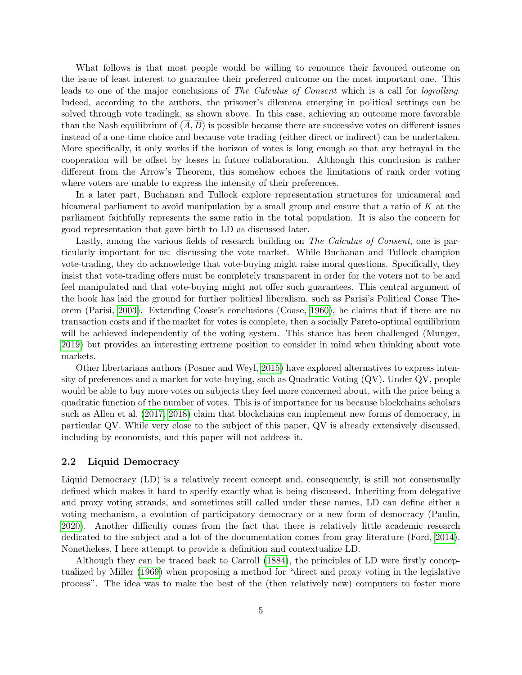What follows is that most people would be willing to renounce their favoured outcome on the issue of least interest to guarantee their preferred outcome on the most important one. This leads to one of the major conclusions of The Calculus of Consent which is a call for logrolling. Indeed, according to the authors, the prisoner's dilemma emerging in political settings can be solved through vote tradingk, as shown above. In this case, achieving an outcome more favorable than the Nash equilibrium of  $(\overline{A}, \overline{B})$  is possible because there are successive votes on different issues instead of a one-time choice and because vote trading (either direct or indirect) can be undertaken. More specifically, it only works if the horizon of votes is long enough so that any betrayal in the cooperation will be offset by losses in future collaboration. Although this conclusion is rather different from the Arrow's Theorem, this somehow echoes the limitations of rank order voting where voters are unable to express the intensity of their preferences.

In a later part, Buchanan and Tullock explore representation structures for unicameral and bicameral parliament to avoid manipulation by a small group and ensure that a ratio of  $K$  at the parliament faithfully represents the same ratio in the total population. It is also the concern for good representation that gave birth to LD as discussed later.

Lastly, among the various fields of research building on The Calculus of Consent, one is particularly important for us: discussing the vote market. While Buchanan and Tullock champion vote-trading, they do acknowledge that vote-buying might raise moral questions. Specifically, they insist that vote-trading offers must be completely transparent in order for the voters not to be and feel manipulated and that vote-buying might not offer such guarantees. This central argument of the book has laid the ground for further political liberalism, such as Parisi's Political Coase Theorem (Parisi, [2003\)](#page-23-3). Extending Coase's conclusions (Coase, [1960\)](#page-20-3), he claims that if there are no transaction costs and if the market for votes is complete, then a socially Pareto-optimal equilibrium will be achieved independently of the voting system. This stance has been challenged (Munger, [2019\)](#page-23-4) but provides an interesting extreme position to consider in mind when thinking about vote markets.

Other libertarians authors (Posner and Weyl, [2015\)](#page-24-2) have explored alternatives to express intensity of preferences and a market for vote-buying, such as Quadratic Voting (QV). Under QV, people would be able to buy more votes on subjects they feel more concerned about, with the price being a quadratic function of the number of votes. This is of importance for us because blockchains scholars such as Allen et al. [\(2017,](#page-19-3) [2018\)](#page-19-4) claim that blockchains can implement new forms of democracy, in particular QV. While very close to the subject of this paper, QV is already extensively discussed, including by economists, and this paper will not address it.

#### <span id="page-4-0"></span>2.2 Liquid Democracy

Liquid Democracy (LD) is a relatively recent concept and, consequently, is still not consensually defined which makes it hard to specify exactly what is being discussed. Inheriting from delegative and proxy voting strands, and sometimes still called under these names, LD can define either a voting mechanism, a evolution of participatory democracy or a new form of democracy (Paulin, [2020\)](#page-23-5). Another difficulty comes from the fact that there is relatively little academic research dedicated to the subject and a lot of the documentation comes from gray literature (Ford, [2014\)](#page-21-1). Nonetheless, I here attempt to provide a definition and contextualize LD.

Although they can be traced back to Carroll [\(1884\)](#page-20-1), the principles of LD were firstly conceptualized by Miller [\(1969\)](#page-23-6) when proposing a method for "direct and proxy voting in the legislative process". The idea was to make the best of the (then relatively new) computers to foster more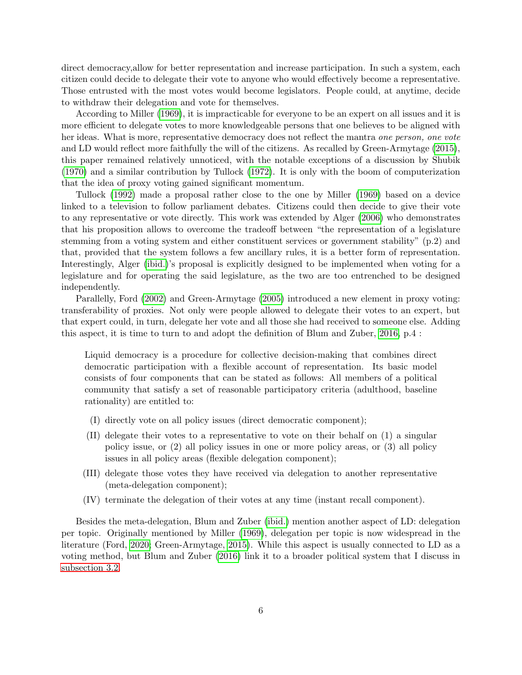direct democracy,allow for better representation and increase participation. In such a system, each citizen could decide to delegate their vote to anyone who would effectively become a representative. Those entrusted with the most votes would become legislators. People could, at anytime, decide to withdraw their delegation and vote for themselves.

According to Miller [\(1969\)](#page-23-6), it is impracticable for everyone to be an expert on all issues and it is more efficient to delegate votes to more knowledgeable persons that one believes to be aligned with her ideas. What is more, representative democracy does not reflect the mantra one person, one vote and LD would reflect more faithfully the will of the citizens. As recalled by Green-Armytage [\(2015\)](#page-22-2), this paper remained relatively unnoticed, with the notable exceptions of a discussion by Shubik [\(1970\)](#page-24-3) and a similar contribution by Tullock [\(1972\)](#page-25-1). It is only with the boom of computerization that the idea of proxy voting gained significant momentum.

Tullock [\(1992\)](#page-25-2) made a proposal rather close to the one by Miller [\(1969\)](#page-23-6) based on a device linked to a television to follow parliament debates. Citizens could then decide to give their vote to any representative or vote directly. This work was extended by Alger [\(2006\)](#page-19-5) who demonstrates that his proposition allows to overcome the tradeoff between "the representation of a legislature stemming from a voting system and either constituent services or government stability" (p.2) and that, provided that the system follows a few ancillary rules, it is a better form of representation. Interestingly, Alger [\(ibid.\)](#page-19-5)'s proposal is explicitly designed to be implemented when voting for a legislature and for operating the said legislature, as the two are too entrenched to be designed independently.

Parallelly, Ford [\(2002\)](#page-21-2) and Green-Armytage [\(2005\)](#page-22-3) introduced a new element in proxy voting: transferability of proxies. Not only were people allowed to delegate their votes to an expert, but that expert could, in turn, delegate her vote and all those she had received to someone else. Adding this aspect, it is time to turn to and adopt the definition of Blum and Zuber, [2016,](#page-20-4) p.4 :

Liquid democracy is a procedure for collective decision-making that combines direct democratic participation with a flexible account of representation. Its basic model consists of four components that can be stated as follows: All members of a political community that satisfy a set of reasonable participatory criteria (adulthood, baseline rationality) are entitled to:

- (I) directly vote on all policy issues (direct democratic component);
- (II) delegate their votes to a representative to vote on their behalf on (1) a singular policy issue, or (2) all policy issues in one or more policy areas, or (3) all policy issues in all policy areas (flexible delegation component);
- (III) delegate those votes they have received via delegation to another representative (meta-delegation component);
- (IV) terminate the delegation of their votes at any time (instant recall component).

Besides the meta-delegation, Blum and Zuber [\(ibid.\)](#page-20-4) mention another aspect of LD: delegation per topic. Originally mentioned by Miller [\(1969\)](#page-23-6), delegation per topic is now widespread in the literature (Ford, [2020;](#page-21-3) Green-Armytage, [2015\)](#page-22-2). While this aspect is usually connected to LD as a voting method, but Blum and Zuber [\(2016\)](#page-20-4) link it to a broader political system that I discuss in [subsection 3.2.](#page-12-0)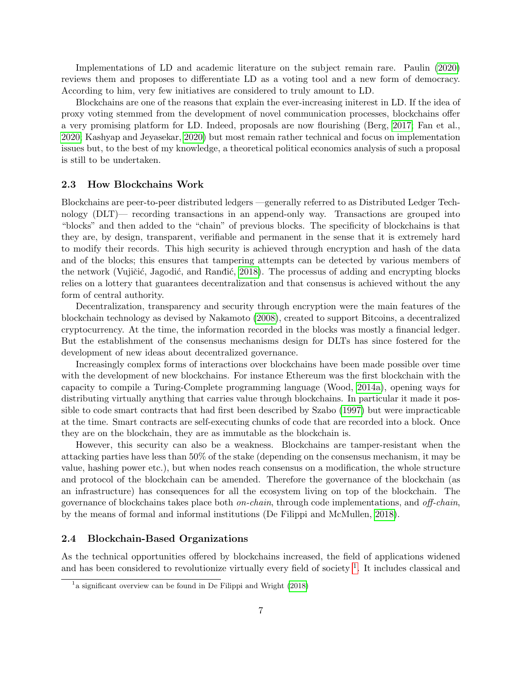Implementations of LD and academic literature on the subject remain rare. Paulin [\(2020\)](#page-23-5) reviews them and proposes to differentiate LD as a voting tool and a new form of democracy. According to him, very few initiatives are considered to truly amount to LD.

Blockchains are one of the reasons that explain the ever-increasing initerest in LD. If the idea of proxy voting stemmed from the development of novel communication processes, blockchains offer a very promising platform for LD. Indeed, proposals are now flourishing (Berg, [2017;](#page-19-6) Fan et al., [2020;](#page-21-4) Kashyap and Jeyasekar, [2020\)](#page-23-7) but most remain rather technical and focus on implementation issues but, to the best of my knowledge, a theoretical political economics analysis of such a proposal is still to be undertaken.

## 2.3 How Blockchains Work

Blockchains are peer-to-peer distributed ledgers —generally referred to as Distributed Ledger Technology (DLT)— recording transactions in an append-only way. Transactions are grouped into "blocks" and then added to the "chain" of previous blocks. The specificity of blockchains is that they are, by design, transparent, verifiable and permanent in the sense that it is extremely hard to modify their records. This high security is achieved through encryption and hash of the data and of the blocks; this ensures that tampering attempts can be detected by various members of the network (Vujičić, Jagodić, and Randić, [2018\)](#page-25-3). The processus of adding and encrypting blocks relies on a lottery that guarantees decentralization and that consensus is achieved without the any form of central authority.

Decentralization, transparency and security through encryption were the main features of the blockchain technology as devised by Nakamoto [\(2008\)](#page-23-8), created to support Bitcoins, a decentralized cryptocurrency. At the time, the information recorded in the blocks was mostly a financial ledger. But the establishment of the consensus mechanisms design for DLTs has since fostered for the development of new ideas about decentralized governance.

Increasingly complex forms of interactions over blockchains have been made possible over time with the development of new blockchains. For instance Ethereum was the first blockchain with the capacity to compile a Turing-Complete programming language (Wood, [2014a\)](#page-25-4), opening ways for distributing virtually anything that carries value through blockchains. In particular it made it possible to code smart contracts that had first been described by Szabo [\(1997\)](#page-24-4) but were impracticable at the time. Smart contracts are self-executing chunks of code that are recorded into a block. Once they are on the blockchain, they are as immutable as the blockchain is.

However, this security can also be a weakness. Blockchains are tamper-resistant when the attacking parties have less than 50% of the stake (depending on the consensus mechanism, it may be value, hashing power etc.), but when nodes reach consensus on a modification, the whole structure and protocol of the blockchain can be amended. Therefore the governance of the blockchain (as an infrastructure) has consequences for all the ecosystem living on top of the blockchain. The governance of blockchains takes place both on-chain, through code implementations, and off-chain, by the means of formal and informal institutions (De Filippi and McMullen, [2018\)](#page-21-5).

## 2.4 Blockchain-Based Organizations

As the technical opportunities offered by blockchains increased, the field of applications widened and has been considered to revolutionize virtually every field of society  $\frac{1}{1}$  $\frac{1}{1}$  $\frac{1}{1}$ . It includes classical and

<span id="page-6-0"></span><sup>&</sup>lt;sup>1</sup> a significant overview can be found in De Filippi and Wright [\(2018\)](#page-21-6)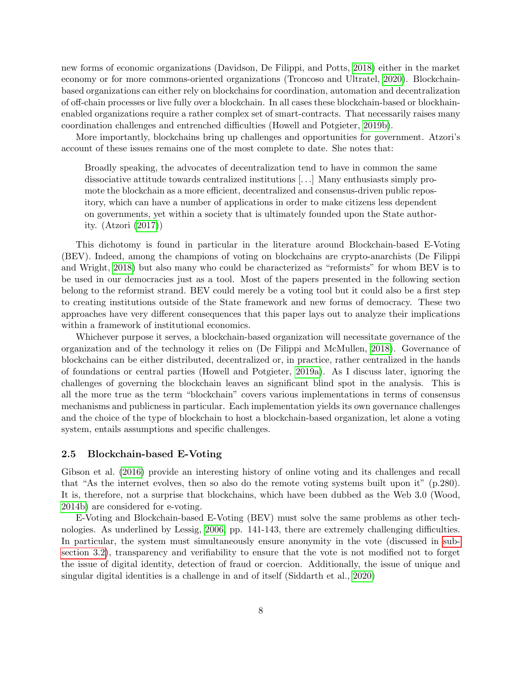new forms of economic organizations (Davidson, De Filippi, and Potts, [2018\)](#page-21-7) either in the market economy or for more commons-oriented organizations (Troncoso and Ultratel, [2020\)](#page-25-5). Blockchainbased organizations can either rely on blockchains for coordination, automation and decentralization of off-chain processes or live fully over a blockchain. In all cases these blockchain-based or blockhainenabled organizations require a rather complex set of smart-contracts. That necessarily raises many coordination challenges and entrenched difficulties (Howell and Potgieter, [2019b\)](#page-23-9).

More importantly, blockchains bring up challenges and opportunities for government. Atzori's account of these issues remains one of the most complete to date. She notes that:

Broadly speaking, the advocates of decentralization tend to have in common the same dissociative attitude towards centralized institutions [. . .] Many enthusiasts simply promote the blockchain as a more efficient, decentralized and consensus-driven public repository, which can have a number of applications in order to make citizens less dependent on governments, yet within a society that is ultimately founded upon the State authority. (Atzori [\(2017\)](#page-19-7))

This dichotomy is found in particular in the literature around Blockchain-based E-Voting (BEV). Indeed, among the champions of voting on blockchains are crypto-anarchists (De Filippi and Wright, [2018\)](#page-21-6) but also many who could be characterized as "reformists" for whom BEV is to be used in our democracies just as a tool. Most of the papers presented in the following section belong to the reformist strand. BEV could merely be a voting tool but it could also be a first step to creating institutions outside of the State framework and new forms of democracy. These two approaches have very different consequences that this paper lays out to analyze their implications within a framework of institutional economics.

Whichever purpose it serves, a blockchain-based organization will necessitate governance of the organization and of the technology it relies on (De Filippi and McMullen, [2018\)](#page-21-5). Governance of blockchains can be either distributed, decentralized or, in practice, rather centralized in the hands of foundations or central parties (Howell and Potgieter, [2019a\)](#page-22-4). As I discuss later, ignoring the challenges of governing the blockchain leaves an significant blind spot in the analysis. This is all the more true as the term "blockchain" covers various implementations in terms of consensus mechanisms and publicness in particular. Each implementation yields its own governance challenges and the choice of the type of blockchain to host a blockchain-based organization, let alone a voting system, entails assumptions and specific challenges.

#### 2.5 Blockchain-based E-Voting

Gibson et al. [\(2016\)](#page-22-1) provide an interesting history of online voting and its challenges and recall that "As the internet evolves, then so also do the remote voting systems built upon it" (p.280). It is, therefore, not a surprise that blockchains, which have been dubbed as the Web 3.0 (Wood, [2014b\)](#page-25-6) are considered for e-voting.

E-Voting and Blockchain-based E-Voting (BEV) must solve the same problems as other technologies. As underlined by Lessig, [2006,](#page-23-0) pp. 141-143, there are extremely challenging difficulties. In particular, the system must simultaneously ensure anonymity in the vote (discussed in [sub](#page-12-0)[section 3.2\)](#page-12-0), transparency and verifiability to ensure that the vote is not modified not to forget the issue of digital identity, detection of fraud or coercion. Additionally, the issue of unique and singular digital identities is a challenge in and of itself (Siddarth et al., [2020\)](#page-24-5)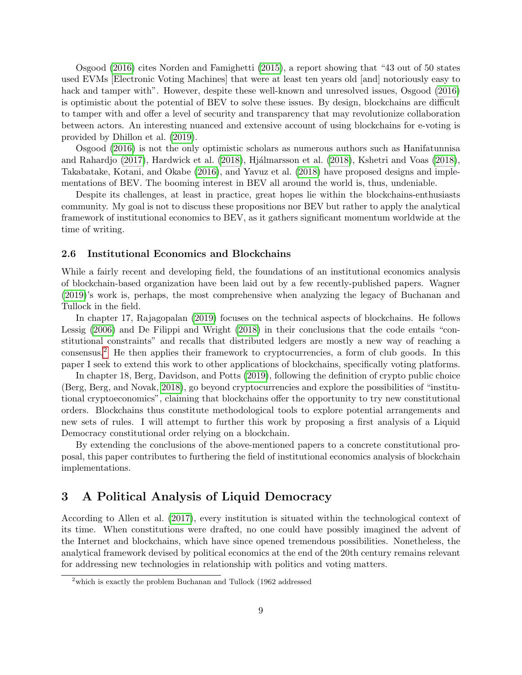Osgood [\(2016\)](#page-23-10) cites Norden and Famighetti [\(2015\)](#page-23-11), a report showing that "43 out of 50 states used EVMs [Electronic Voting Machines] that were at least ten years old [and] notoriously easy to hack and tamper with". However, despite these well-known and unresolved issues, Osgood [\(2016\)](#page-23-10) is optimistic about the potential of BEV to solve these issues. By design, blockchains are difficult to tamper with and offer a level of security and transparency that may revolutionize collaboration between actors. An interesting nuanced and extensive account of using blockchains for e-voting is provided by Dhillon et al. [\(2019\)](#page-21-8).

Osgood [\(2016\)](#page-23-10) is not the only optimistic scholars as numerous authors such as Hanifatunnisa and Rahardjo [\(2017\)](#page-22-5), Hardwick et al. [\(2018\)](#page-23-12), Hjálmarsson et al. (2018), Kshetri and Voas (2018), Takabatake, Kotani, and Okabe [\(2016\)](#page-25-7), and Yavuz et al. [\(2018\)](#page-25-8) have proposed designs and implementations of BEV. The booming interest in BEV all around the world is, thus, undeniable.

Despite its challenges, at least in practice, great hopes lie within the blockchains-enthusiasts community. My goal is not to discuss these propositions nor BEV but rather to apply the analytical framework of institutional economics to BEV, as it gathers significant momentum worldwide at the time of writing.

#### 2.6 Institutional Economics and Blockchains

While a fairly recent and developing field, the foundations of an institutional economics analysis of blockchain-based organization have been laid out by a few recently-published papers. Wagner [\(2019\)](#page-25-9)'s work is, perhaps, the most comprehensive when analyzing the legacy of Buchanan and Tullock in the field.

In chapter 17, Rajagopalan [\(2019\)](#page-24-6) focuses on the technical aspects of blockchains. He follows Lessig [\(2006\)](#page-23-0) and De Filippi and Wright [\(2018\)](#page-21-6) in their conclusions that the code entails "constitutional constraints" and recalls that distributed ledgers are mostly a new way of reaching a consensus.[2](#page-8-1) He then applies their framework to cryptocurrencies, a form of club goods. In this paper I seek to extend this work to other applications of blockchains, specifically voting platforms.

In chapter 18, Berg, Davidson, and Potts [\(2019\)](#page-19-8), following the definition of crypto public choice (Berg, Berg, and Novak, [2018\)](#page-19-9), go beyond cryptocurrencies and explore the possibilities of "institutional cryptoeconomics", claiming that blockchains offer the opportunity to try new constitutional orders. Blockchains thus constitute methodological tools to explore potential arrangements and new sets of rules. I will attempt to further this work by proposing a first analysis of a Liquid Democracy constitutional order relying on a blockchain.

By extending the conclusions of the above-mentioned papers to a concrete constitutional proposal, this paper contributes to furthering the field of institutional economics analysis of blockchain implementations.

# <span id="page-8-0"></span>3 A Political Analysis of Liquid Democracy

According to Allen et al. [\(2017\)](#page-19-3), every institution is situated within the technological context of its time. When constitutions were drafted, no one could have possibly imagined the advent of the Internet and blockchains, which have since opened tremendous possibilities. Nonetheless, the analytical framework devised by political economics at the end of the 20th century remains relevant for addressing new technologies in relationship with politics and voting matters.

<span id="page-8-1"></span> $2$ which is exactly the problem Buchanan and Tullock (1962 addressed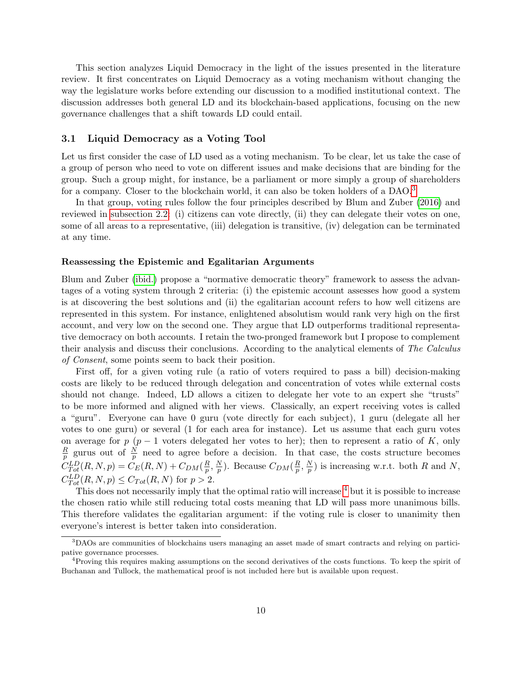This section analyzes Liquid Democracy in the light of the issues presented in the literature review. It first concentrates on Liquid Democracy as a voting mechanism without changing the way the legislature works before extending our discussion to a modified institutional context. The discussion addresses both general LD and its blockchain-based applications, focusing on the new governance challenges that a shift towards LD could entail.

### 3.1 Liquid Democracy as a Voting Tool

Let us first consider the case of LD used as a voting mechanism. To be clear, let us take the case of a group of person who need to vote on different issues and make decisions that are binding for the group. Such a group might, for instance, be a parliament or more simply a group of shareholders for a company. Closer to the blockchain world, it can also be token holders of a DAO.[3](#page-9-0)

In that group, voting rules follow the four principles described by Blum and Zuber [\(2016\)](#page-20-4) and reviewed in [subsection 2.2:](#page-4-0) (i) citizens can vote directly, (ii) they can delegate their votes on one, some of all areas to a representative, (iii) delegation is transitive, (iv) delegation can be terminated at any time.

#### Reassessing the Epistemic and Egalitarian Arguments

Blum and Zuber [\(ibid.\)](#page-20-4) propose a "normative democratic theory" framework to assess the advantages of a voting system through 2 criteria: (i) the epistemic account assesses how good a system is at discovering the best solutions and (ii) the egalitarian account refers to how well citizens are represented in this system. For instance, enlightened absolutism would rank very high on the first account, and very low on the second one. They argue that LD outperforms traditional representative democracy on both accounts. I retain the two-pronged framework but I propose to complement their analysis and discuss their conclusions. According to the analytical elements of The Calculus of Consent, some points seem to back their position.

First off, for a given voting rule (a ratio of voters required to pass a bill) decision-making costs are likely to be reduced through delegation and concentration of votes while external costs should not change. Indeed, LD allows a citizen to delegate her vote to an expert she "trusts" to be more informed and aligned with her views. Classically, an expert receiving votes is called a "guru". Everyone can have 0 guru (vote directly for each subject), 1 guru (delegate all her votes to one guru) or several (1 for each area for instance). Let us assume that each guru votes on average for p (p − 1 voters delegated her votes to her); then to represent a ratio of K, only  $\overline{R}$  $\frac{R}{p}$  gurus out of  $\frac{N}{p}$  need to agree before a decision. In that case, the costs structure becomes  $C_{Tot}^{LD}(R, N, p) = C_E(R, N) + C_{DM}(\frac{R}{p})$  $\frac{R}{p}, \frac{N}{p}$  $\frac{N}{p}$ ). Because  $C_{DM}(\frac{R}{p})$  $\frac{R}{p}, \frac{N}{p}$  $\frac{N}{p}$ ) is increasing w.r.t. both R and N,  $C_{Tot}^{LD}(R, N, p) \leq C_{Tot}(R, N)$  for  $p > 2$ .

This does not necessarily imply that the optimal ratio will increase  $4$  but it is possible to increase the chosen ratio while still reducing total costs meaning that LD will pass more unanimous bills. This therefore validates the egalitarian argument: if the voting rule is closer to unanimity then everyone's interest is better taken into consideration.

<span id="page-9-0"></span><sup>3</sup>DAOs are communities of blockchains users managing an asset made of smart contracts and relying on participative governance processes.

<span id="page-9-1"></span><sup>&</sup>lt;sup>4</sup>Proving this requires making assumptions on the second derivatives of the costs functions. To keep the spirit of Buchanan and Tullock, the mathematical proof is not included here but is available upon request.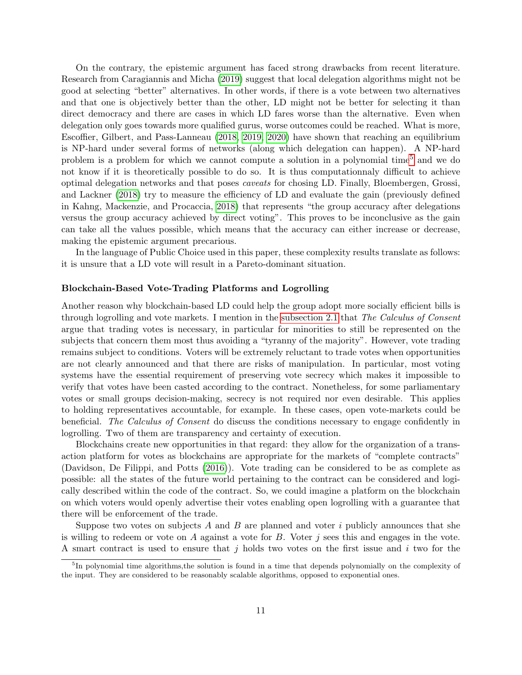On the contrary, the epistemic argument has faced strong drawbacks from recent literature. Research from Caragiannis and Micha [\(2019\)](#page-20-5) suggest that local delegation algorithms might not be good at selecting "better" alternatives. In other words, if there is a vote between two alternatives and that one is objectively better than the other, LD might not be better for selecting it than direct democracy and there are cases in which LD fares worse than the alternative. Even when delegation only goes towards more qualified gurus, worse outcomes could be reached. What is more, Escoffier, Gilbert, and Pass-Lanneau [\(2018,](#page-21-9) [2019,](#page-21-10) [2020\)](#page-21-11) have shown that reaching an equilibrium is NP-hard under several forms of networks (along which delegation can happen). A NP-hard problem is a problem for which we cannot compute a solution in a polynomial time<sup>[5](#page-10-0)</sup> and we do not know if it is theoretically possible to do so. It is thus computationnaly difficult to achieve optimal delegation networks and that poses caveats for chosing LD. Finally, Bloembergen, Grossi, and Lackner [\(2018\)](#page-19-10) try to measure the efficiency of LD and evaluate the gain (previously defined in Kahng, Mackenzie, and Procaccia, [2018\)](#page-23-13) that represents "the group accuracy after delegations versus the group accuracy achieved by direct voting". This proves to be inconclusive as the gain can take all the values possible, which means that the accuracy can either increase or decrease, making the epistemic argument precarious.

In the language of Public Choice used in this paper, these complexity results translate as follows: it is unsure that a LD vote will result in a Pareto-dominant situation.

#### Blockchain-Based Vote-Trading Platforms and Logrolling

Another reason why blockchain-based LD could help the group adopt more socially efficient bills is through logrolling and vote markets. I mention in the [subsection 2.1](#page-2-1) that The Calculus of Consent argue that trading votes is necessary, in particular for minorities to still be represented on the subjects that concern them most thus avoiding a "tyranny of the majority". However, vote trading remains subject to conditions. Voters will be extremely reluctant to trade votes when opportunities are not clearly announced and that there are risks of manipulation. In particular, most voting systems have the essential requirement of preserving vote secrecy which makes it impossible to verify that votes have been casted according to the contract. Nonetheless, for some parliamentary votes or small groups decision-making, secrecy is not required nor even desirable. This applies to holding representatives accountable, for example. In these cases, open vote-markets could be beneficial. The Calculus of Consent do discuss the conditions necessary to engage confidently in logrolling. Two of them are transparency and certainty of execution.

Blockchains create new opportunities in that regard: they allow for the organization of a transaction platform for votes as blockchains are appropriate for the markets of "complete contracts" (Davidson, De Filippi, and Potts [\(2016\)](#page-21-12)). Vote trading can be considered to be as complete as possible: all the states of the future world pertaining to the contract can be considered and logically described within the code of the contract. So, we could imagine a platform on the blockchain on which voters would openly advertise their votes enabling open logrolling with a guarantee that there will be enforcement of the trade.

Suppose two votes on subjects A and B are planned and voter  $i$  publicly announces that she is willing to redeem or vote on A against a vote for  $B$ . Voter j sees this and engages in the vote. A smart contract is used to ensure that j holds two votes on the first issue and i two for the

<span id="page-10-0"></span><sup>&</sup>lt;sup>5</sup>In polynomial time algorithms, the solution is found in a time that depends polynomially on the complexity of the input. They are considered to be reasonably scalable algorithms, opposed to exponential ones.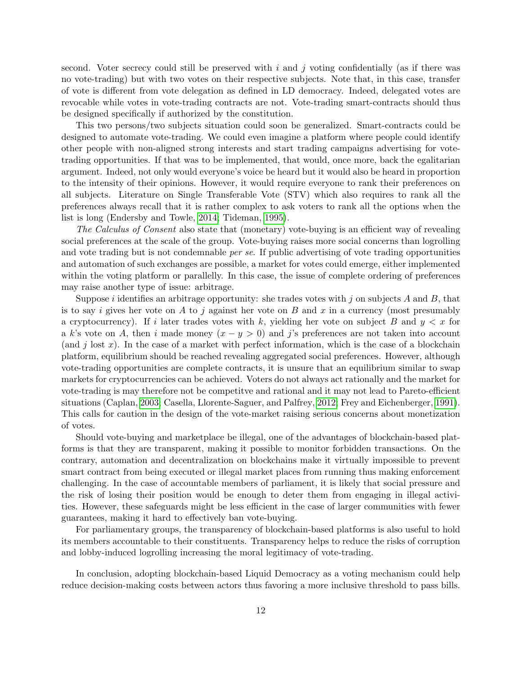second. Voter secrecy could still be preserved with  $i$  and  $j$  voting confidentially (as if there was no vote-trading) but with two votes on their respective subjects. Note that, in this case, transfer of vote is different from vote delegation as defined in LD democracy. Indeed, delegated votes are revocable while votes in vote-trading contracts are not. Vote-trading smart-contracts should thus be designed specifically if authorized by the constitution.

This two persons/two subjects situation could soon be generalized. Smart-contracts could be designed to automate vote-trading. We could even imagine a platform where people could identify other people with non-aligned strong interests and start trading campaigns advertising for votetrading opportunities. If that was to be implemented, that would, once more, back the egalitarian argument. Indeed, not only would everyone's voice be heard but it would also be heard in proportion to the intensity of their opinions. However, it would require everyone to rank their preferences on all subjects. Literature on Single Transferable Vote (STV) which also requires to rank all the preferences always recall that it is rather complex to ask voters to rank all the options when the list is long (Endersby and Towle, [2014;](#page-21-13) Tideman, [1995\)](#page-25-10).

The Calculus of Consent also state that (monetary) vote-buying is an efficient way of revealing social preferences at the scale of the group. Vote-buying raises more social concerns than logrolling and vote trading but is not condemnable *per se*. If public advertising of vote trading opportunities and automation of such exchanges are possible, a market for votes could emerge, either implemented within the voting platform or parallelly. In this case, the issue of complete ordering of preferences may raise another type of issue: arbitrage.

Suppose i identifies an arbitrage opportunity: she trades votes with j on subjects  $A$  and  $B$ , that is to say i gives her vote on A to j against her vote on B and x in a currency (most presumably a cryptocurrency). If i later trades votes with k, yielding her vote on subject B and  $y < x$  for a k's vote on A, then i made money  $(x - y > 0)$  and j's preferences are not taken into account (and j lost x). In the case of a market with perfect information, which is the case of a blockchain platform, equilibrium should be reached revealing aggregated social preferences. However, although vote-trading opportunities are complete contracts, it is unsure that an equilibrium similar to swap markets for cryptocurrencies can be achieved. Voters do not always act rationally and the market for vote-trading is may therefore not be competitve and rational and it may not lead to Pareto-efficient situations (Caplan, [2003;](#page-20-6) Casella, Llorente-Saguer, and Palfrey, [2012;](#page-20-7) Frey and Eichenberger, [1991\)](#page-22-8). This calls for caution in the design of the vote-market raising serious concerns about monetization of votes.

Should vote-buying and marketplace be illegal, one of the advantages of blockchain-based platforms is that they are transparent, making it possible to monitor forbidden transactions. On the contrary, automation and decentralization on blockchains make it virtually impossible to prevent smart contract from being executed or illegal market places from running thus making enforcement challenging. In the case of accountable members of parliament, it is likely that social pressure and the risk of losing their position would be enough to deter them from engaging in illegal activities. However, these safeguards might be less efficient in the case of larger communities with fewer guarantees, making it hard to effectively ban vote-buying.

For parliamentary groups, the transparency of blockchain-based platforms is also useful to hold its members accountable to their constituents. Transparency helps to reduce the risks of corruption and lobby-induced logrolling increasing the moral legitimacy of vote-trading.

In conclusion, adopting blockchain-based Liquid Democracy as a voting mechanism could help reduce decision-making costs between actors thus favoring a more inclusive threshold to pass bills.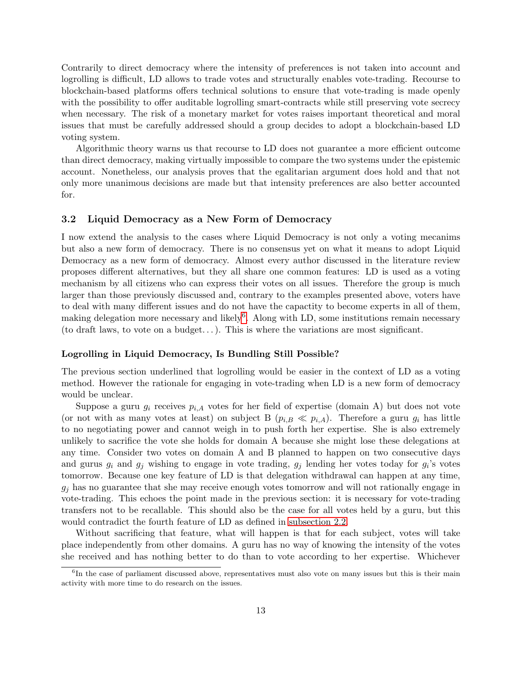Contrarily to direct democracy where the intensity of preferences is not taken into account and logrolling is difficult, LD allows to trade votes and structurally enables vote-trading. Recourse to blockchain-based platforms offers technical solutions to ensure that vote-trading is made openly with the possibility to offer auditable logrolling smart-contracts while still preserving vote secrecy when necessary. The risk of a monetary market for votes raises important theoretical and moral issues that must be carefully addressed should a group decides to adopt a blockchain-based LD voting system.

Algorithmic theory warns us that recourse to LD does not guarantee a more efficient outcome than direct democracy, making virtually impossible to compare the two systems under the epistemic account. Nonetheless, our analysis proves that the egalitarian argument does hold and that not only more unanimous decisions are made but that intensity preferences are also better accounted for.

## <span id="page-12-0"></span>3.2 Liquid Democracy as a New Form of Democracy

I now extend the analysis to the cases where Liquid Democracy is not only a voting mecanims but also a new form of democracy. There is no consensus yet on what it means to adopt Liquid Democracy as a new form of democracy. Almost every author discussed in the literature review proposes different alternatives, but they all share one common features: LD is used as a voting mechanism by all citizens who can express their votes on all issues. Therefore the group is much larger than those previously discussed and, contrary to the examples presented above, voters have to deal with many different issues and do not have the capactity to become experts in all of them, making delegation more necessary and likely<sup>[6](#page-12-1)</sup>. Along with LD, some institutions remain necessary (to draft laws, to vote on a budget...). This is where the variations are most significant.

#### Logrolling in Liquid Democracy, Is Bundling Still Possible?

The previous section underlined that logrolling would be easier in the context of LD as a voting method. However the rationale for engaging in vote-trading when LD is a new form of democracy would be unclear.

Suppose a guru  $g_i$  receives  $p_{i,A}$  votes for her field of expertise (domain A) but does not vote (or not with as many votes at least) on subject B  $(p_{i,B} \ll p_{i,A})$ . Therefore a guru  $g_i$  has little to no negotiating power and cannot weigh in to push forth her expertise. She is also extremely unlikely to sacrifice the vote she holds for domain A because she might lose these delegations at any time. Consider two votes on domain A and B planned to happen on two consecutive days and gurus  $g_i$  and  $g_j$  wishing to engage in vote trading,  $g_j$  lending her votes today for  $g_i$ 's votes tomorrow. Because one key feature of LD is that delegation withdrawal can happen at any time,  $g_i$  has no guarantee that she may receive enough votes tomorrow and will not rationally engage in vote-trading. This echoes the point made in the previous section: it is necessary for vote-trading transfers not to be recallable. This should also be the case for all votes held by a guru, but this would contradict the fourth feature of LD as defined in [subsection 2.2.](#page-4-0)

Without sacrificing that feature, what will happen is that for each subject, votes will take place independently from other domains. A guru has no way of knowing the intensity of the votes she received and has nothing better to do than to vote according to her expertise. Whichever

<span id="page-12-1"></span><sup>&</sup>lt;sup>6</sup>In the case of parliament discussed above, representatives must also vote on many issues but this is their main activity with more time to do research on the issues.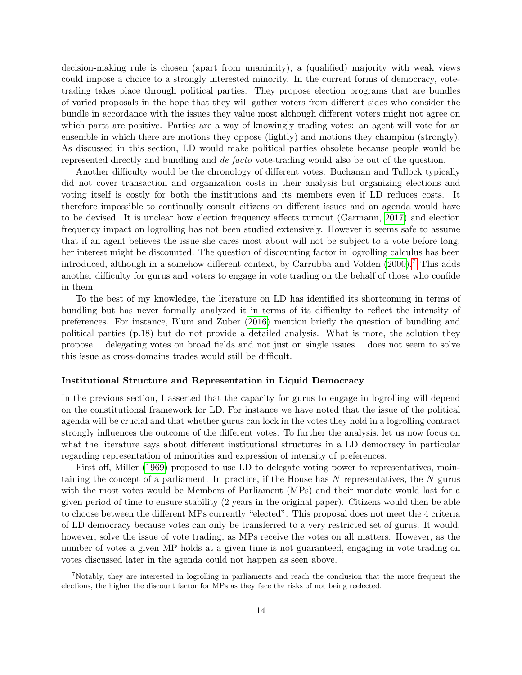decision-making rule is chosen (apart from unanimity), a (qualified) majority with weak views could impose a choice to a strongly interested minority. In the current forms of democracy, votetrading takes place through political parties. They propose election programs that are bundles of varied proposals in the hope that they will gather voters from different sides who consider the bundle in accordance with the issues they value most although different voters might not agree on which parts are positive. Parties are a way of knowingly trading votes: an agent will vote for an ensemble in which there are motions they oppose (lightly) and motions they champion (strongly). As discussed in this section, LD would make political parties obsolete because people would be represented directly and bundling and de facto vote-trading would also be out of the question.

Another difficulty would be the chronology of different votes. Buchanan and Tullock typically did not cover transaction and organization costs in their analysis but organizing elections and voting itself is costly for both the institutions and its members even if LD reduces costs. It therefore impossible to continually consult citizens on different issues and an agenda would have to be devised. It is unclear how election frequency affects turnout (Garmann, [2017\)](#page-22-9) and election frequency impact on logrolling has not been studied extensively. However it seems safe to assume that if an agent believes the issue she cares most about will not be subject to a vote before long, her interest might be discounted. The question of discounting factor in logrolling calculus has been introduced, although in a somehow different context, by Carrubba and Volden [\(2000\)](#page-20-8).[7](#page-13-0) This adds another difficulty for gurus and voters to engage in vote trading on the behalf of those who confide in them.

To the best of my knowledge, the literature on LD has identified its shortcoming in terms of bundling but has never formally analyzed it in terms of its difficulty to reflect the intensity of preferences. For instance, Blum and Zuber [\(2016\)](#page-20-4) mention briefly the question of bundling and political parties (p.18) but do not provide a detailed analysis. What is more, the solution they propose —delegating votes on broad fields and not just on single issues— does not seem to solve this issue as cross-domains trades would still be difficult.

#### Institutional Structure and Representation in Liquid Democracy

In the previous section, I asserted that the capacity for gurus to engage in logrolling will depend on the constitutional framework for LD. For instance we have noted that the issue of the political agenda will be crucial and that whether gurus can lock in the votes they hold in a logrolling contract strongly influences the outcome of the different votes. To further the analysis, let us now focus on what the literature says about different institutional structures in a LD democracy in particular regarding representation of minorities and expression of intensity of preferences.

First off, Miller [\(1969\)](#page-23-6) proposed to use LD to delegate voting power to representatives, maintaining the concept of a parliament. In practice, if the House has  $N$  representatives, the  $N$  gurus with the most votes would be Members of Parliament (MPs) and their mandate would last for a given period of time to ensure stability (2 years in the original paper). Citizens would then be able to choose between the different MPs currently "elected". This proposal does not meet the 4 criteria of LD democracy because votes can only be transferred to a very restricted set of gurus. It would, however, solve the issue of vote trading, as MPs receive the votes on all matters. However, as the number of votes a given MP holds at a given time is not guaranteed, engaging in vote trading on votes discussed later in the agenda could not happen as seen above.

<span id="page-13-0"></span><sup>7</sup>Notably, they are interested in logrolling in parliaments and reach the conclusion that the more frequent the elections, the higher the discount factor for MPs as they face the risks of not being reelected.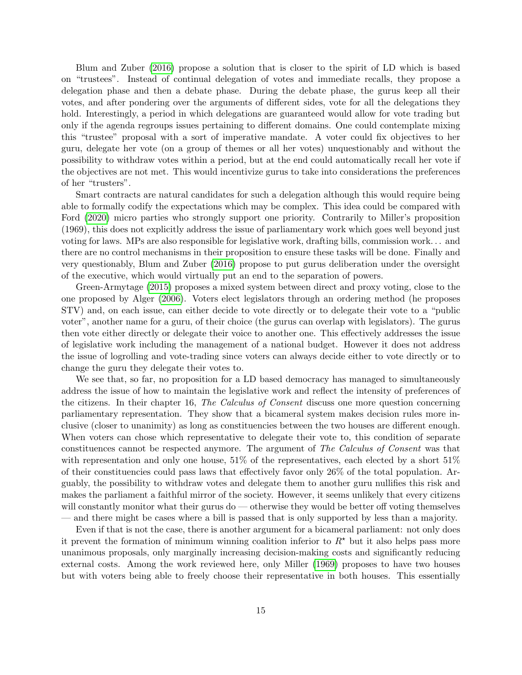Blum and Zuber [\(2016\)](#page-20-4) propose a solution that is closer to the spirit of LD which is based on "trustees". Instead of continual delegation of votes and immediate recalls, they propose a delegation phase and then a debate phase. During the debate phase, the gurus keep all their votes, and after pondering over the arguments of different sides, vote for all the delegations they hold. Interestingly, a period in which delegations are guaranteed would allow for vote trading but only if the agenda regroups issues pertaining to different domains. One could contemplate mixing this "trustee" proposal with a sort of imperative mandate. A voter could fix objectives to her guru, delegate her vote (on a group of themes or all her votes) unquestionably and without the possibility to withdraw votes within a period, but at the end could automatically recall her vote if the objectives are not met. This would incentivize gurus to take into considerations the preferences of her "trusters".

Smart contracts are natural candidates for such a delegation although this would require being able to formally codify the expectations which may be complex. This idea could be compared with Ford [\(2020\)](#page-21-3) micro parties who strongly support one priority. Contrarily to Miller's proposition (1969), this does not explicitly address the issue of parliamentary work which goes well beyond just voting for laws. MPs are also responsible for legislative work, drafting bills, commission work. . . and there are no control mechanisms in their proposition to ensure these tasks will be done. Finally and very questionably, Blum and Zuber [\(2016\)](#page-20-4) propose to put gurus deliberation under the oversight of the executive, which would virtually put an end to the separation of powers.

Green-Armytage [\(2015\)](#page-22-2) proposes a mixed system between direct and proxy voting, close to the one proposed by Alger [\(2006\)](#page-19-5). Voters elect legislators through an ordering method (he proposes STV) and, on each issue, can either decide to vote directly or to delegate their vote to a "public voter", another name for a guru, of their choice (the gurus can overlap with legislators). The gurus then vote either directly or delegate their voice to another one. This effectively addresses the issue of legislative work including the management of a national budget. However it does not address the issue of logrolling and vote-trading since voters can always decide either to vote directly or to change the guru they delegate their votes to.

We see that, so far, no proposition for a LD based democracy has managed to simultaneously address the issue of how to maintain the legislative work and reflect the intensity of preferences of the citizens. In their chapter 16, The Calculus of Consent discuss one more question concerning parliamentary representation. They show that a bicameral system makes decision rules more inclusive (closer to unanimity) as long as constituencies between the two houses are different enough. When voters can chose which representative to delegate their vote to, this condition of separate constituences cannot be respected anymore. The argument of The Calculus of Consent was that with representation and only one house, 51% of the representatives, each elected by a short 51% of their constituencies could pass laws that effectively favor only 26% of the total population. Arguably, the possibility to withdraw votes and delegate them to another guru nullifies this risk and makes the parliament a faithful mirror of the society. However, it seems unlikely that every citizens will constantly monitor what their gurus do — otherwise they would be better off voting themselves — and there might be cases where a bill is passed that is only supported by less than a majority.

Even if that is not the case, there is another argument for a bicameral parliament: not only does it prevent the formation of minimum winning coalition inferior to  $R^*$  but it also helps pass more unanimous proposals, only marginally increasing decision-making costs and significantly reducing external costs. Among the work reviewed here, only Miller [\(1969\)](#page-23-6) proposes to have two houses but with voters being able to freely choose their representative in both houses. This essentially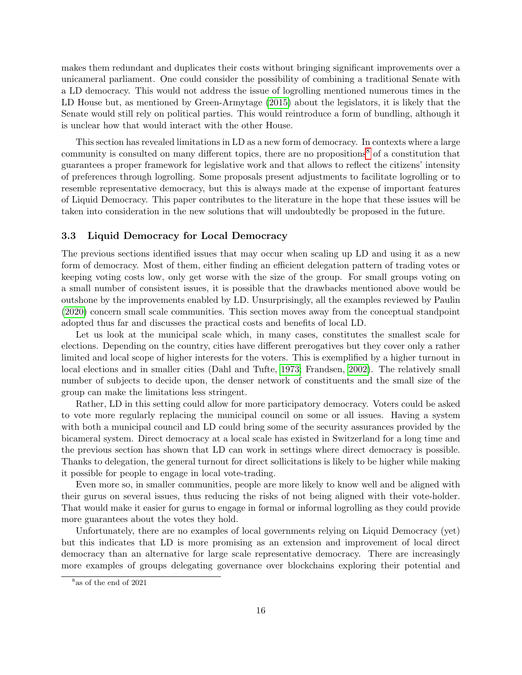makes them redundant and duplicates their costs without bringing significant improvements over a unicameral parliament. One could consider the possibility of combining a traditional Senate with a LD democracy. This would not address the issue of logrolling mentioned numerous times in the LD House but, as mentioned by Green-Armytage [\(2015\)](#page-22-2) about the legislators, it is likely that the Senate would still rely on political parties. This would reintroduce a form of bundling, although it is unclear how that would interact with the other House.

This section has revealed limitations in LD as a new form of democracy. In contexts where a large community is consulted on many different topics, there are no propositions<sup>[8](#page-15-0)</sup> of a constitution that guarantees a proper framework for legislative work and that allows to reflect the citizens' intensity of preferences through logrolling. Some proposals present adjustments to facilitate logrolling or to resemble representative democracy, but this is always made at the expense of important features of Liquid Democracy. This paper contributes to the literature in the hope that these issues will be taken into consideration in the new solutions that will undoubtedly be proposed in the future.

#### 3.3 Liquid Democracy for Local Democracy

The previous sections identified issues that may occur when scaling up LD and using it as a new form of democracy. Most of them, either finding an efficient delegation pattern of trading votes or keeping voting costs low, only get worse with the size of the group. For small groups voting on a small number of consistent issues, it is possible that the drawbacks mentioned above would be outshone by the improvements enabled by LD. Unsurprisingly, all the examples reviewed by Paulin [\(2020\)](#page-23-5) concern small scale communities. This section moves away from the conceptual standpoint adopted thus far and discusses the practical costs and benefits of local LD.

Let us look at the municipal scale which, in many cases, constitutes the smallest scale for elections. Depending on the country, cities have different prerogatives but they cover only a rather limited and local scope of higher interests for the voters. This is exemplified by a higher turnout in local elections and in smaller cities (Dahl and Tufte, [1973;](#page-20-9) Frandsen, [2002\)](#page-22-10). The relatively small number of subjects to decide upon, the denser network of constituents and the small size of the group can make the limitations less stringent.

Rather, LD in this setting could allow for more participatory democracy. Voters could be asked to vote more regularly replacing the municipal council on some or all issues. Having a system with both a municipal council and LD could bring some of the security assurances provided by the bicameral system. Direct democracy at a local scale has existed in Switzerland for a long time and the previous section has shown that LD can work in settings where direct democracy is possible. Thanks to delegation, the general turnout for direct sollicitations is likely to be higher while making it possible for people to engage in local vote-trading.

Even more so, in smaller communities, people are more likely to know well and be aligned with their gurus on several issues, thus reducing the risks of not being aligned with their vote-holder. That would make it easier for gurus to engage in formal or informal logrolling as they could provide more guarantees about the votes they hold.

Unfortunately, there are no examples of local governments relying on Liquid Democracy (yet) but this indicates that LD is more promising as an extension and improvement of local direct democracy than an alternative for large scale representative democracy. There are increasingly more examples of groups delegating governance over blockchains exploring their potential and

<span id="page-15-0"></span><sup>8</sup> as of the end of 2021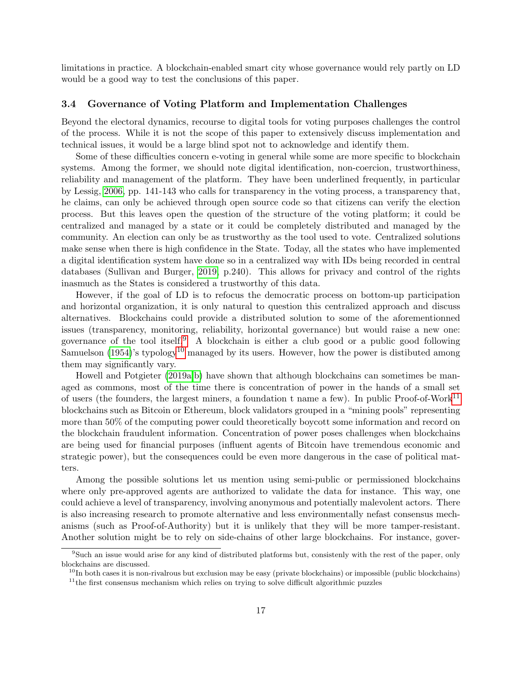limitations in practice. A blockchain-enabled smart city whose governance would rely partly on LD would be a good way to test the conclusions of this paper.

### 3.4 Governance of Voting Platform and Implementation Challenges

Beyond the electoral dynamics, recourse to digital tools for voting purposes challenges the control of the process. While it is not the scope of this paper to extensively discuss implementation and technical issues, it would be a large blind spot not to acknowledge and identify them.

Some of these difficulties concern e-voting in general while some are more specific to blockchain systems. Among the former, we should note digital identification, non-coercion, trustworthiness, reliability and management of the platform. They have been underlined frequently, in particular by Lessig, [2006,](#page-23-0) pp. 141-143 who calls for transparency in the voting process, a transparency that, he claims, can only be achieved through open source code so that citizens can verify the election process. But this leaves open the question of the structure of the voting platform; it could be centralized and managed by a state or it could be completely distributed and managed by the community. An election can only be as trustworthy as the tool used to vote. Centralized solutions make sense when there is high confidence in the State. Today, all the states who have implemented a digital identification system have done so in a centralized way with IDs being recorded in central databases (Sullivan and Burger, [2019,](#page-24-7) p.240). This allows for privacy and control of the rights inasmuch as the States is considered a trustworthy of this data.

However, if the goal of LD is to refocus the democratic process on bottom-up participation and horizontal organization, it is only natural to question this centralized approach and discuss alternatives. Blockchains could provide a distributed solution to some of the aforementionned issues (transparency, monitoring, reliability, horizontal governance) but would raise a new one: governance of the tool itself.<sup>[9](#page-16-0)</sup> A blockchain is either a club good or a public good following Samuelson  $(1954)$ 's typology<sup>[10](#page-16-1)</sup> managed by its users. However, how the power is distibuted among them may significantly vary.

Howell and Potgieter [\(2019a,](#page-22-4)[b\)](#page-23-9) have shown that although blockchains can sometimes be managed as commons, most of the time there is concentration of power in the hands of a small set of users (the founders, the largest miners, a foundation t name a few). In public Proof-of-Work[11](#page-16-2) blockchains such as Bitcoin or Ethereum, block validators grouped in a "mining pools" representing more than 50% of the computing power could theoretically boycott some information and record on the blockchain fraudulent information. Concentration of power poses challenges when blockchains are being used for financial purposes (influent agents of Bitcoin have tremendous economic and strategic power), but the consequences could be even more dangerous in the case of political matters.

Among the possible solutions let us mention using semi-public or permissioned blockchains where only pre-approved agents are authorized to validate the data for instance. This way, one could achieve a level of transparency, involving anonymous and potentially malevolent actors. There is also increasing research to promote alternative and less environmentally nefast consensus mechanisms (such as Proof-of-Authority) but it is unlikely that they will be more tamper-resistant. Another solution might be to rely on side-chains of other large blockchains. For instance, gover-

<span id="page-16-0"></span><sup>9</sup>Such an issue would arise for any kind of distributed platforms but, consistenly with the rest of the paper, only blockchains are discussed.

<span id="page-16-1"></span> $10$ In both cases it is non-rivalrous but exclusion may be easy (private blockchains) or impossible (public blockchains)

<span id="page-16-2"></span><sup>&</sup>lt;sup>11</sup>the first consensus mechanism which relies on trying to solve difficult algorithmic puzzles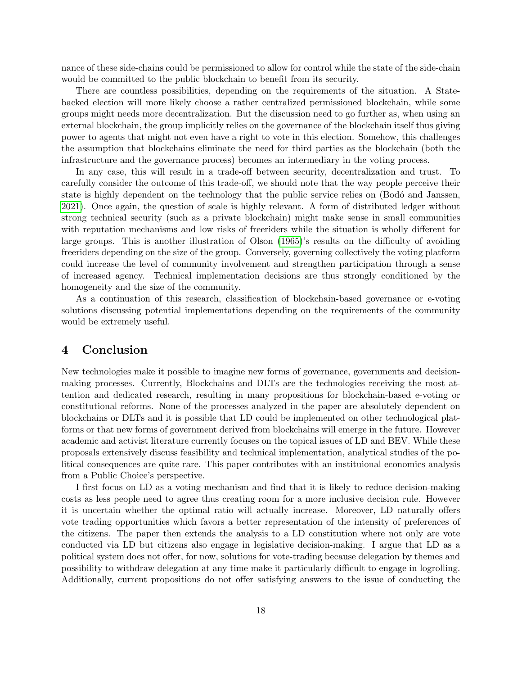nance of these side-chains could be permissioned to allow for control while the state of the side-chain would be committed to the public blockchain to benefit from its security.

There are countless possibilities, depending on the requirements of the situation. A Statebacked election will more likely choose a rather centralized permissioned blockchain, while some groups might needs more decentralization. But the discussion need to go further as, when using an external blockchain, the group implicitly relies on the governance of the blockchain itself thus giving power to agents that might not even have a right to vote in this election. Somehow, this challenges the assumption that blockchains eliminate the need for third parties as the blockchain (both the infrastructure and the governance process) becomes an intermediary in the voting process.

In any case, this will result in a trade-off between security, decentralization and trust. To carefully consider the outcome of this trade-off, we should note that the way people perceive their state is highly dependent on the technology that the public service relies on (Bodó and Janssen, [2021\)](#page-20-10). Once again, the question of scale is highly relevant. A form of distributed ledger without strong technical security (such as a private blockchain) might make sense in small communities with reputation mechanisms and low risks of freeriders while the situation is wholly different for large groups. This is another illustration of Olson [\(1965\)](#page-23-14)'s results on the difficulty of avoiding freeriders depending on the size of the group. Conversely, governing collectively the voting platform could increase the level of community involvement and strengthen participation through a sense of increased agency. Technical implementation decisions are thus strongly conditioned by the homogeneity and the size of the community.

As a continuation of this research, classification of blockchain-based governance or e-voting solutions discussing potential implementations depending on the requirements of the community would be extremely useful.

# <span id="page-17-0"></span>4 Conclusion

New technologies make it possible to imagine new forms of governance, governments and decisionmaking processes. Currently, Blockchains and DLTs are the technologies receiving the most attention and dedicated research, resulting in many propositions for blockchain-based e-voting or constitutional reforms. None of the processes analyzed in the paper are absolutely dependent on blockchains or DLTs and it is possible that LD could be implemented on other technological platforms or that new forms of government derived from blockchains will emerge in the future. However academic and activist literature currently focuses on the topical issues of LD and BEV. While these proposals extensively discuss feasibility and technical implementation, analytical studies of the political consequences are quite rare. This paper contributes with an instituional economics analysis from a Public Choice's perspective.

I first focus on LD as a voting mechanism and find that it is likely to reduce decision-making costs as less people need to agree thus creating room for a more inclusive decision rule. However it is uncertain whether the optimal ratio will actually increase. Moreover, LD naturally offers vote trading opportunities which favors a better representation of the intensity of preferences of the citizens. The paper then extends the analysis to a LD constitution where not only are vote conducted via LD but citizens also engage in legislative decision-making. I argue that LD as a political system does not offer, for now, solutions for vote-trading because delegation by themes and possibility to withdraw delegation at any time make it particularly difficult to engage in logrolling. Additionally, current propositions do not offer satisfying answers to the issue of conducting the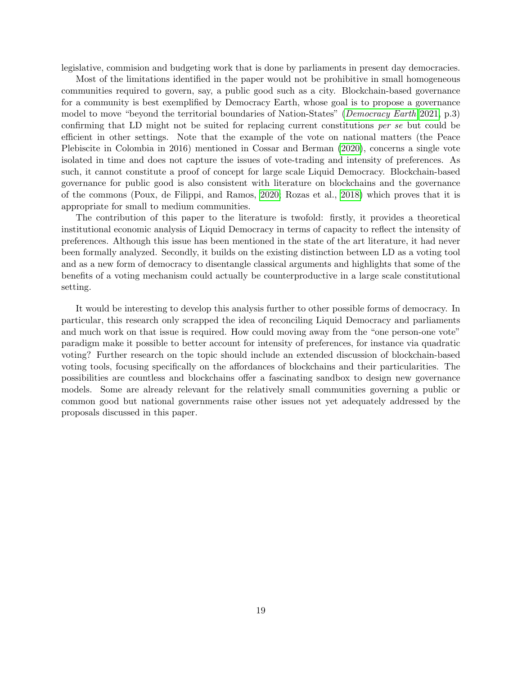legislative, commision and budgeting work that is done by parliaments in present day democracies.

Most of the limitations identified in the paper would not be prohibitive in small homogeneous communities required to govern, say, a public good such as a city. Blockchain-based governance for a community is best exemplified by Democracy Earth, whose goal is to propose a governance model to move "beyond the territorial boundaries of Nation-States" (*[Democracy Earth](#page-21-14)* [2021,](#page-21-14) p.3) confirming that LD might not be suited for replacing current constitutions per se but could be efficient in other settings. Note that the example of the vote on national matters (the Peace Plebiscite in Colombia in 2016) mentioned in Cossar and Berman [\(2020\)](#page-20-11), concerns a single vote isolated in time and does not capture the issues of vote-trading and intensity of preferences. As such, it cannot constitute a proof of concept for large scale Liquid Democracy. Blockchain-based governance for public good is also consistent with literature on blockchains and the governance of the commons (Poux, de Filippi, and Ramos, [2020;](#page-24-9) Rozas et al., [2018\)](#page-24-10) which proves that it is appropriate for small to medium communities.

The contribution of this paper to the literature is twofold: firstly, it provides a theoretical institutional economic analysis of Liquid Democracy in terms of capacity to reflect the intensity of preferences. Although this issue has been mentioned in the state of the art literature, it had never been formally analyzed. Secondly, it builds on the existing distinction between LD as a voting tool and as a new form of democracy to disentangle classical arguments and highlights that some of the benefits of a voting mechanism could actually be counterproductive in a large scale constitutional setting.

It would be interesting to develop this analysis further to other possible forms of democracy. In particular, this research only scrapped the idea of reconciling Liquid Democracy and parliaments and much work on that issue is required. How could moving away from the "one person-one vote" paradigm make it possible to better account for intensity of preferences, for instance via quadratic voting? Further research on the topic should include an extended discussion of blockchain-based voting tools, focusing specifically on the affordances of blockchains and their particularities. The possibilities are countless and blockchains offer a fascinating sandbox to design new governance models. Some are already relevant for the relatively small communities governing a public or common good but national governments raise other issues not yet adequately addressed by the proposals discussed in this paper.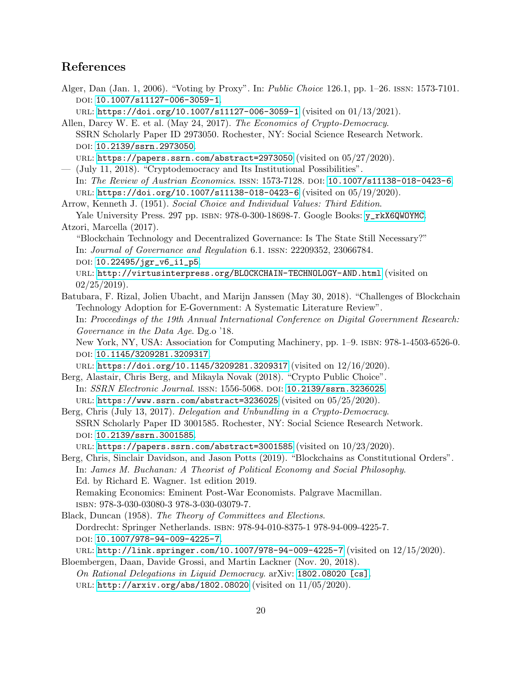# References

- <span id="page-19-5"></span>Alger, Dan (Jan. 1, 2006). "Voting by Proxy". In: Public Choice 126.1, pp. 1–26. issn: 1573-7101. DOI: [10.1007/s11127-006-3059-1](https://doi.org/10.1007/s11127-006-3059-1).
- <span id="page-19-3"></span>url: <https://doi.org/10.1007/s11127-006-3059-1> (visited on 01/13/2021). Allen, Darcy W. E. et al. (May 24, 2017). The Economics of Crypto-Democracy. SSRN Scholarly Paper ID 2973050. Rochester, NY: Social Science Research Network.

doi: [10.2139/ssrn.2973050](https://doi.org/10.2139/ssrn.2973050).

url: <https://papers.ssrn.com/abstract=2973050> (visited on 05/27/2020).

<span id="page-19-4"></span>— (July 11, 2018). "Cryptodemocracy and Its Institutional Possibilities". In: The Review of Austrian Economics. issn: 1573-7128. doi: [10.1007/s11138-018-0423-6](https://doi.org/10.1007/s11138-018-0423-6). url: <https://doi.org/10.1007/s11138-018-0423-6> (visited on 05/19/2020).

<span id="page-19-1"></span>Arrow, Kenneth J. (1951). Social Choice and Individual Values: Third Edition. Yale University Press. 297 pp. ISBN: 978-0-300-18698-7. Google Books: [y\\_rkX6QWOYMC](http://books.google.com/books?id=y_rkX6QWOYMC). Atzori, Marcella (2017).

<span id="page-19-7"></span>"Blockchain Technology and Decentralized Governance: Is The State Still Necessary?" In: Journal of Governance and Regulation 6.1. issn: 22209352, 23066784. DOI: [10.22495/jgr\\_v6\\_i1\\_p5](https://doi.org/10.22495/jgr_v6_i1_p5).

url: <http://virtusinterpress.org/BLOCKCHAIN-TECHNOLOGY-AND.html> (visited on  $02/25/2019$ .

<span id="page-19-2"></span>Batubara, F. Rizal, Jolien Ubacht, and Marijn Janssen (May 30, 2018). "Challenges of Blockchain Technology Adoption for E-Government: A Systematic Literature Review". In: Proceedings of the 19th Annual International Conference on Digital Government Research: Governance in the Data Age. Dg.o '18.

New York, NY, USA: Association for Computing Machinery, pp. 1–9. isbn: 978-1-4503-6526-0. doi: [10.1145/3209281.3209317](https://doi.org/10.1145/3209281.3209317).

url: <https://doi.org/10.1145/3209281.3209317> (visited on 12/16/2020).

<span id="page-19-9"></span>Berg, Alastair, Chris Berg, and Mikayla Novak (2018). "Crypto Public Choice". In: SSRN Electronic Journal. issn: 1556-5068. doi: [10.2139/ssrn.3236025](https://doi.org/10.2139/ssrn.3236025). URL: <https://www.ssrn.com/abstract=3236025> (visited on  $05/25/2020$ ).

<span id="page-19-6"></span>Berg, Chris (July 13, 2017). Delegation and Unbundling in a Crypto-Democracy. SSRN Scholarly Paper ID 3001585. Rochester, NY: Social Science Research Network. doi: [10.2139/ssrn.3001585](https://doi.org/10.2139/ssrn.3001585).

URL: <https://papers.ssrn.com/abstract=3001585> (visited on  $10/23/2020$ ).

<span id="page-19-8"></span>Berg, Chris, Sinclair Davidson, and Jason Potts (2019). "Blockchains as Constitutional Orders". In: James M. Buchanan: A Theorist of Political Economy and Social Philosophy. Ed. by Richard E. Wagner. 1st edition 2019. Remaking Economics: Eminent Post-War Economists. Palgrave Macmillan. isbn: 978-3-030-03080-3 978-3-030-03079-7.

<span id="page-19-0"></span>Black, Duncan (1958). The Theory of Committees and Elections. Dordrecht: Springer Netherlands. isbn: 978-94-010-8375-1 978-94-009-4225-7. DOI: [10.1007/978-94-009-4225-7](https://doi.org/10.1007/978-94-009-4225-7).

<span id="page-19-10"></span>url: <http://link.springer.com/10.1007/978-94-009-4225-7> (visited on 12/15/2020). Bloembergen, Daan, Davide Grossi, and Martin Lackner (Nov. 20, 2018).

On Rational Delegations in Liquid Democracy. arXiv: [1802.08020 \[cs\]](https://arxiv.org/abs/1802.08020).

url: <http://arxiv.org/abs/1802.08020> (visited on 11/05/2020).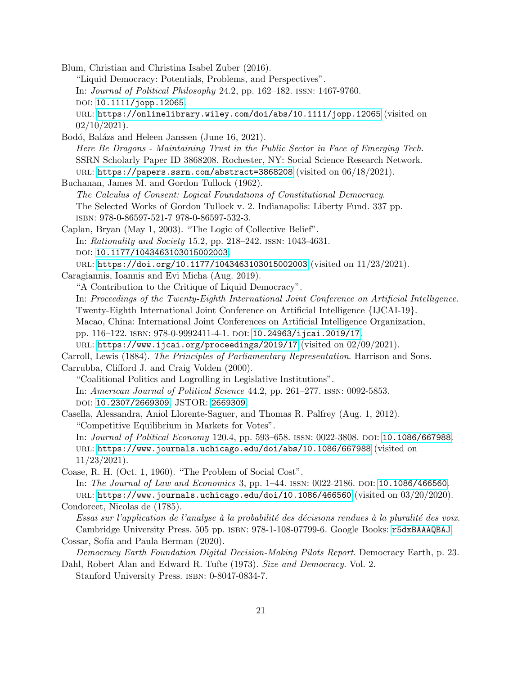<span id="page-20-10"></span><span id="page-20-6"></span><span id="page-20-5"></span><span id="page-20-4"></span><span id="page-20-2"></span>Blum, Christian and Christina Isabel Zuber (2016). "Liquid Democracy: Potentials, Problems, and Perspectives". In: Journal of Political Philosophy 24.2, pp. 162–182. issn: 1467-9760. DOI: [10.1111/jopp.12065](https://doi.org/10.1111/jopp.12065). url: <https://onlinelibrary.wiley.com/doi/abs/10.1111/jopp.12065> (visited on  $02/10/2021$ . Bodó, Balázs and Heleen Janssen (June 16, 2021). Here Be Dragons - Maintaining Trust in the Public Sector in Face of Emerging Tech. SSRN Scholarly Paper ID 3868208. Rochester, NY: Social Science Research Network. URL: <https://papers.ssrn.com/abstract=3868208> (visited on 06/18/2021). Buchanan, James M. and Gordon Tullock (1962). The Calculus of Consent: Logical Foundations of Constitutional Democracy. The Selected Works of Gordon Tullock v. 2. Indianapolis: Liberty Fund. 337 pp. isbn: 978-0-86597-521-7 978-0-86597-532-3. Caplan, Bryan (May 1, 2003). "The Logic of Collective Belief". In: Rationality and Society 15.2, pp. 218–242. issn: 1043-4631. doi: [10.1177/1043463103015002003](https://doi.org/10.1177/1043463103015002003). url: <https://doi.org/10.1177/1043463103015002003> (visited on 11/23/2021). Caragiannis, Ioannis and Evi Micha (Aug. 2019). "A Contribution to the Critique of Liquid Democracy". In: Proceedings of the Twenty-Eighth International Joint Conference on Artificial Intelligence. Twenty-Eighth International Joint Conference on Artificial Intelligence {IJCAI-19}. Macao, China: International Joint Conferences on Artificial Intelligence Organization, pp. 116–122. isbn: 978-0-9992411-4-1. doi: [10.24963/ijcai.2019/17](https://doi.org/10.24963/ijcai.2019/17). url: <https://www.ijcai.org/proceedings/2019/17> (visited on 02/09/2021). Carroll, Lewis (1884). The Principles of Parliamentary Representation. Harrison and Sons. Carrubba, Clifford J. and Craig Volden (2000). "Coalitional Politics and Logrolling in Legislative Institutions". In: American Journal of Political Science 44.2, pp. 261–277. issn: 0092-5853. doi: [10.2307/2669309](https://doi.org/10.2307/2669309). JSTOR: [2669309](http://www.jstor.org/stable/2669309). Casella, Alessandra, Aniol Llorente-Saguer, and Thomas R. Palfrey (Aug. 1, 2012). "Competitive Equilibrium in Markets for Votes". In: Journal of Political Economy 120.4, pp. 593-658. ISSN: 0022-3808. DOI: [10.1086/667988](https://doi.org/10.1086/667988). url: <https://www.journals.uchicago.edu/doi/abs/10.1086/667988> (visited on 11/23/2021). Coase, R. H. (Oct. 1, 1960). "The Problem of Social Cost". In: The Journal of Law and Economics 3, pp. 1–44. ISSN: 0022-2186. DOI: [10.1086/466560](https://doi.org/10.1086/466560). url: <https://www.journals.uchicago.edu/doi/10.1086/466560> (visited on 03/20/2020). Condorcet, Nicolas de (1785). Essai sur l'application de l'analyse à la probabilité des décisions rendues à la pluralité des voix. Cambridge University Press. 505 pp. isbn: 978-1-108-07799-6. Google Books: [r5dxBAAAQBAJ](http://books.google.com/books?id=r5dxBAAAQBAJ). Cossar, Sofía and Paula Berman (2020). Democracy Earth Foundation Digital Decision-Making Pilots Report. Democracy Earth, p. 23. Dahl, Robert Alan and Edward R. Tufte (1973). Size and Democracy. Vol. 2.

<span id="page-20-11"></span><span id="page-20-9"></span><span id="page-20-8"></span><span id="page-20-7"></span><span id="page-20-3"></span><span id="page-20-1"></span><span id="page-20-0"></span>Stanford University Press. ISBN: 0-8047-0834-7.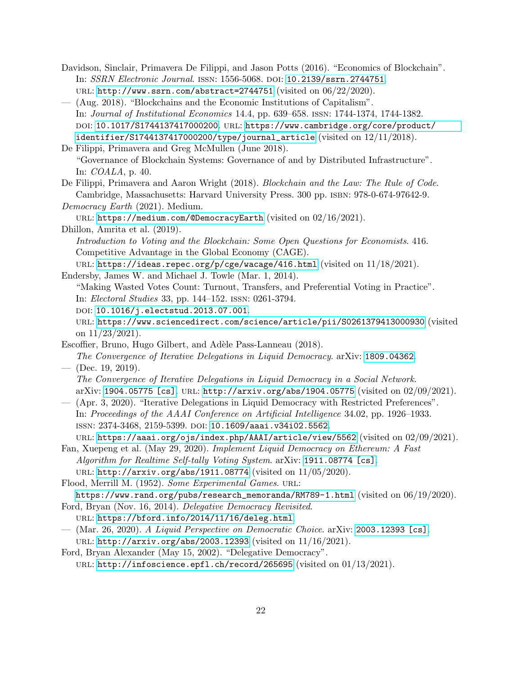- <span id="page-21-12"></span>Davidson, Sinclair, Primavera De Filippi, and Jason Potts (2016). "Economics of Blockchain". In: SSRN Electronic Journal. issn: 1556-5068. doi: [10.2139/ssrn.2744751](https://doi.org/10.2139/ssrn.2744751). url: <http://www.ssrn.com/abstract=2744751> (visited on 06/22/2020).
- <span id="page-21-7"></span>— (Aug. 2018). "Blockchains and the Economic Institutions of Capitalism". In: Journal of Institutional Economics 14.4, pp. 639–658. issn: 1744-1374, 1744-1382. doi: [10.1017/S1744137417000200](https://doi.org/10.1017/S1744137417000200). url: [https://www.cambridge.org/core/product/](https://www.cambridge.org/core/product/identifier/S1744137417000200/type/journal_article) [identifier/S1744137417000200/type/journal\\_article](https://www.cambridge.org/core/product/identifier/S1744137417000200/type/journal_article) (visited on  $12/11/2018$ ).

<span id="page-21-5"></span>De Filippi, Primavera and Greg McMullen (June 2018). "Governance of Blockchain Systems: Governance of and by Distributed Infrastructure". In: COALA, p. 40.

<span id="page-21-6"></span>De Filippi, Primavera and Aaron Wright (2018). Blockchain and the Law: The Rule of Code. Cambridge, Massachusetts: Harvard University Press. 300 pp. isbn: 978-0-674-97642-9.

<span id="page-21-14"></span>Democracy Earth (2021). Medium.

URL: <https://medium.com/@DemocracyEarth> (visited on 02/16/2021).

<span id="page-21-8"></span>Dhillon, Amrita et al. (2019).

Introduction to Voting and the Blockchain: Some Open Questions for Economists. 416. Competitive Advantage in the Global Economy (CAGE).

<span id="page-21-13"></span>URL: <https://ideas.repec.org/p/cge/wacage/416.html> (visited on  $11/18/2021$ ). Endersby, James W. and Michael J. Towle (Mar. 1, 2014).

"Making Wasted Votes Count: Turnout, Transfers, and Preferential Voting in Practice". In: Electoral Studies 33, pp. 144–152. issn: 0261-3794.

doi: [10.1016/j.electstud.2013.07.001](https://doi.org/10.1016/j.electstud.2013.07.001).

url: <https://www.sciencedirect.com/science/article/pii/S0261379413000930> (visited on 11/23/2021).

<span id="page-21-9"></span>Escoffier, Bruno, Hugo Gilbert, and Adèle Pass-Lanneau (2018). The Convergence of Iterative Delegations in Liquid Democracy. arXiv: [1809.04362](https://arxiv.org/abs/1809.04362).

<span id="page-21-10"></span> $-$  (Dec. 19, 2019). The Convergence of Iterative Delegations in Liquid Democracy in a Social Network. arXiv: [1904.05775 \[cs\]](https://arxiv.org/abs/1904.05775). URL: <http://arxiv.org/abs/1904.05775> (visited on 02/09/2021).

<span id="page-21-11"></span>— (Apr. 3, 2020). "Iterative Delegations in Liquid Democracy with Restricted Preferences". In: Proceedings of the AAAI Conference on Artificial Intelligence 34.02, pp. 1926–1933. issn: 2374-3468, 2159-5399. doi: [10.1609/aaai.v34i02.5562](https://doi.org/10.1609/aaai.v34i02.5562).

url: <https://aaai.org/ojs/index.php/AAAI/article/view/5562> (visited on 02/09/2021).

<span id="page-21-4"></span>Fan, Xuepeng et al. (May 29, 2020). Implement Liquid Democracy on Ethereum: A Fast Algorithm for Realtime Self-tally Voting System. arXiv: [1911.08774 \[cs\]](https://arxiv.org/abs/1911.08774).

URL: <http://arxiv.org/abs/1911.08774> (visited on  $11/05/2020$ ).

<span id="page-21-0"></span>Flood, Merrill M. (1952). Some Experimental Games. URL:

<span id="page-21-1"></span>[https://www.rand.org/pubs/research\\_memoranda/RM789-1.html](https://www.rand.org/pubs/research_memoranda/RM789-1.html) (visited on 06/19/2020). Ford, Bryan (Nov. 16, 2014). Delegative Democracy Revisited.

- url: <https://bford.info/2014/11/16/deleg.html>.
- <span id="page-21-3"></span>— (Mar. 26, 2020). A Liquid Perspective on Democratic Choice. arXiv: [2003.12393 \[cs\]](https://arxiv.org/abs/2003.12393). url: <http://arxiv.org/abs/2003.12393> (visited on 11/16/2021).
- <span id="page-21-2"></span>Ford, Bryan Alexander (May 15, 2002). "Delegative Democracy". URL: <http://infoscience.epfl.ch/record/265695> (visited on 01/13/2021).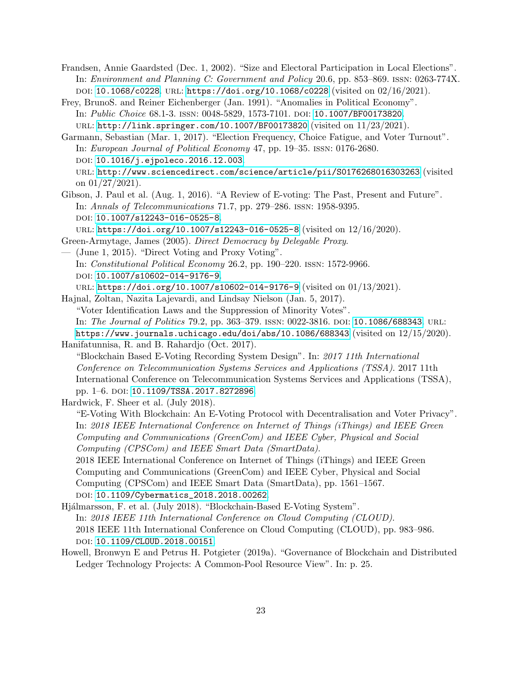<span id="page-22-10"></span>Frandsen, Annie Gaardsted (Dec. 1, 2002). "Size and Electoral Participation in Local Elections". In: Environment and Planning C: Government and Policy 20.6, pp. 853–869. issn: 0263-774X. doi: [10.1068/c0228](https://doi.org/10.1068/c0228). url: <https://doi.org/10.1068/c0228> (visited on 02/16/2021).

<span id="page-22-8"></span>Frey, BrunoS. and Reiner Eichenberger (Jan. 1991). "Anomalies in Political Economy". In: *Public Choice* 68.1-3. ISSN: 0048-5829, 1573-7101. DOI: [10.1007/BF00173820](https://doi.org/10.1007/BF00173820). url: <http://link.springer.com/10.1007/BF00173820> (visited on 11/23/2021).

<span id="page-22-9"></span>Garmann, Sebastian (Mar. 1, 2017). "Election Frequency, Choice Fatigue, and Voter Turnout". In: European Journal of Political Economy 47, pp. 19–35. issn: 0176-2680. doi: [10.1016/j.ejpoleco.2016.12.003](https://doi.org/10.1016/j.ejpoleco.2016.12.003). url: <http://www.sciencedirect.com/science/article/pii/S0176268016303263> (visited on 01/27/2021).

<span id="page-22-1"></span>Gibson, J. Paul et al. (Aug. 1, 2016). "A Review of E-voting: The Past, Present and Future". In: Annals of Telecommunications 71.7, pp. 279–286. issn: 1958-9395. DOI: [10.1007/s12243-016-0525-8](https://doi.org/10.1007/s12243-016-0525-8).

url: <https://doi.org/10.1007/s12243-016-0525-8> (visited on 12/16/2020).

- <span id="page-22-3"></span><span id="page-22-2"></span>Green-Armytage, James (2005). Direct Democracy by Delegable Proxy. — (June 1, 2015). "Direct Voting and Proxy Voting".
- In: Constitutional Political Economy 26.2, pp. 190–220. issn: 1572-9966. DOI: [10.1007/s10602-014-9176-9](https://doi.org/10.1007/s10602-014-9176-9).

url: <https://doi.org/10.1007/s10602-014-9176-9> (visited on 01/13/2021).

<span id="page-22-0"></span>Hajnal, Zoltan, Nazita Lajevardi, and Lindsay Nielson (Jan. 5, 2017). "Voter Identification Laws and the Suppression of Minority Votes". In: The Journal of Politics 79.2, pp. 363–379. ISSN: 0022-3816. DOI: [10.1086/688343](https://doi.org/10.1086/688343). URL: <https://www.journals.uchicago.edu/doi/abs/10.1086/688343> (visited on 12/15/2020).

<span id="page-22-5"></span>Hanifatunnisa, R. and B. Rahardjo (Oct. 2017). "Blockchain Based E-Voting Recording System Design". In: 2017 11th International Conference on Telecommunication Systems Services and Applications (TSSA). 2017 11th International Conference on Telecommunication Systems Services and Applications (TSSA), pp. 1–6. doi: [10.1109/TSSA.2017.8272896](https://doi.org/10.1109/TSSA.2017.8272896).

<span id="page-22-6"></span>Hardwick, F. Sheer et al. (July 2018).

"E-Voting With Blockchain: An E-Voting Protocol with Decentralisation and Voter Privacy". In: 2018 IEEE International Conference on Internet of Things (iThings) and IEEE Green Computing and Communications (GreenCom) and IEEE Cyber, Physical and Social Computing (CPSCom) and IEEE Smart Data (SmartData).

2018 IEEE International Conference on Internet of Things (iThings) and IEEE Green Computing and Communications (GreenCom) and IEEE Cyber, Physical and Social Computing (CPSCom) and IEEE Smart Data (SmartData), pp. 1561–1567. DOI: [10.1109/Cybermatics\\_2018.2018.00262](https://doi.org/10.1109/Cybermatics_2018.2018.00262).

<span id="page-22-7"></span>Hjálmarsson, F. et al. (July 2018). "Blockchain-Based E-Voting System". In: 2018 IEEE 11th International Conference on Cloud Computing (CLOUD). 2018 IEEE 11th International Conference on Cloud Computing (CLOUD), pp. 983–986. doi: [10.1109/CLOUD.2018.00151](https://doi.org/10.1109/CLOUD.2018.00151).

<span id="page-22-4"></span>Howell, Bronwyn E and Petrus H. Potgieter (2019a). "Governance of Blockchain and Distributed Ledger Technology Projects: A Common-Pool Resource View". In: p. 25.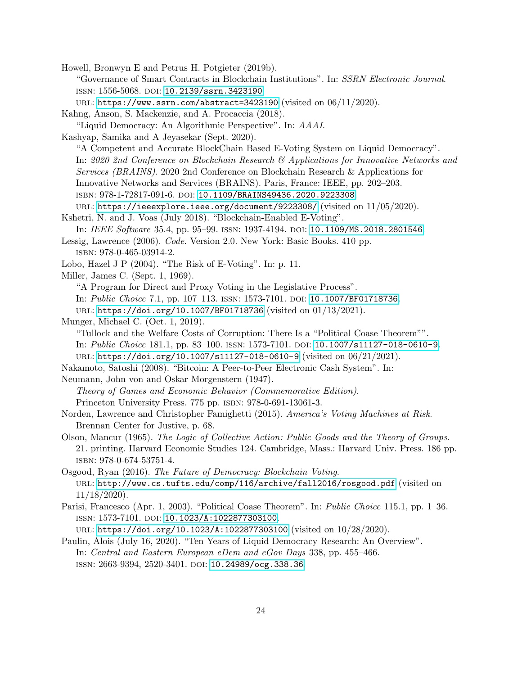<span id="page-23-9"></span>Howell, Bronwyn E and Petrus H. Potgieter (2019b).

"Governance of Smart Contracts in Blockchain Institutions". In: SSRN Electronic Journal. issn: 1556-5068. doi: [10.2139/ssrn.3423190](https://doi.org/10.2139/ssrn.3423190).

URL: <https://www.ssrn.com/abstract=3423190> (visited on  $06/11/2020$ ).

<span id="page-23-13"></span>Kahng, Anson, S. Mackenzie, and A. Procaccia (2018).

"Liquid Democracy: An Algorithmic Perspective". In: AAAI.

<span id="page-23-7"></span>Kashyap, Samika and A Jeyasekar (Sept. 2020).

"A Competent and Accurate BlockChain Based E-Voting System on Liquid Democracy". In: 2020 2nd Conference on Blockchain Research & Applications for Innovative Networks and Services (BRAINS). 2020 2nd Conference on Blockchain Research & Applications for Innovative Networks and Services (BRAINS). Paris, France: IEEE, pp. 202–203. isbn: 978-1-72817-091-6. doi: [10.1109/BRAINS49436.2020.9223308](https://doi.org/10.1109/BRAINS49436.2020.9223308).

URL: <https://ieeexplore.ieee.org/document/9223308/> (visited on  $11/05/2020$ ).

<span id="page-23-12"></span>Kshetri, N. and J. Voas (July 2018). "Blockchain-Enabled E-Voting".

In: IEEE Software 35.4, pp. 95–99. ISSN: 1937-4194. DOI: [10.1109/MS.2018.2801546](https://doi.org/10.1109/MS.2018.2801546).

<span id="page-23-0"></span>Lessig, Lawrence (2006). Code. Version 2.0. New York: Basic Books. 410 pp. isbn: 978-0-465-03914-2.

<span id="page-23-1"></span>Lobo, Hazel J P (2004). "The Risk of E-Voting". In: p. 11.

<span id="page-23-6"></span>Miller, James C. (Sept. 1, 1969).

"A Program for Direct and Proxy Voting in the Legislative Process".

In: Public Choice 7.1, pp. 107-113. ISSN: 1573-7101. DOI: [10.1007/BF01718736](https://doi.org/10.1007/BF01718736).

url: <https://doi.org/10.1007/BF01718736> (visited on 01/13/2021).

<span id="page-23-4"></span>Munger, Michael C. (Oct. 1, 2019).

"Tullock and the Welfare Costs of Corruption: There Is a "Political Coase Theorem"". In: Public Choice 181.1, pp. 83–100. issn: 1573-7101. doi: [10.1007/s11127-018-0610-9](https://doi.org/10.1007/s11127-018-0610-9). url: <https://doi.org/10.1007/s11127-018-0610-9> (visited on 06/21/2021).

<span id="page-23-8"></span>Nakamoto, Satoshi (2008). "Bitcoin: A Peer-to-Peer Electronic Cash System". In:

<span id="page-23-2"></span>Neumann, John von and Oskar Morgenstern (1947).

Theory of Games and Economic Behavior (Commemorative Edition). Princeton University Press. 775 pp. isbn: 978-0-691-13061-3.

<span id="page-23-11"></span>Norden, Lawrence and Christopher Famighetti (2015). America's Voting Machines at Risk. Brennan Center for Justive, p. 68.

<span id="page-23-14"></span>Olson, Mancur (1965). The Logic of Collective Action: Public Goods and the Theory of Groups. 21. printing. Harvard Economic Studies 124. Cambridge, Mass.: Harvard Univ. Press. 186 pp. isbn: 978-0-674-53751-4.

<span id="page-23-10"></span>Osgood, Ryan (2016). The Future of Democracy: Blockchain Voting. url: <http://www.cs.tufts.edu/comp/116/archive/fall2016/rosgood.pdf> (visited on 11/18/2020).

<span id="page-23-3"></span>Parisi, Francesco (Apr. 1, 2003). "Political Coase Theorem". In: Public Choice 115.1, pp. 1–36. issn: 1573-7101. doi: [10.1023/A:1022877303100](https://doi.org/10.1023/A:1022877303100). url: <https://doi.org/10.1023/A:1022877303100> (visited on 10/28/2020).

<span id="page-23-5"></span>Paulin, Alois (July 16, 2020). "Ten Years of Liquid Democracy Research: An Overview". In: Central and Eastern European eDem and eGov Days 338, pp. 455–466. ISSN: 2663-9394, 2520-3401. DOI: [10.24989/ocg.338.36](https://doi.org/10.24989/ocg.338.36).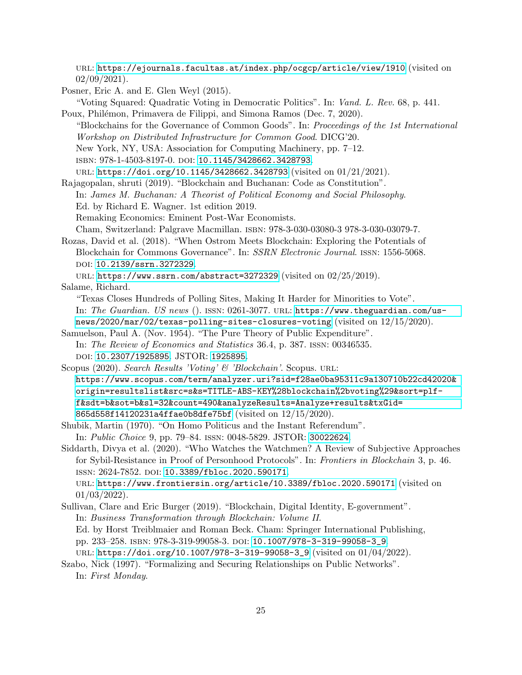url: <https://ejournals.facultas.at/index.php/ocgcp/article/view/1910> (visited on  $02/09/2021$ .

<span id="page-24-2"></span>Posner, Eric A. and E. Glen Weyl (2015).

<span id="page-24-10"></span><span id="page-24-9"></span><span id="page-24-6"></span><span id="page-24-0"></span>"Voting Squared: Quadratic Voting in Democratic Politics". In: Vand. L. Rev. 68, p. 441. Poux, Philémon, Primavera de Filippi, and Simona Ramos (Dec. 7, 2020). "Blockchains for the Governance of Common Goods". In: Proceedings of the 1st International Workshop on Distributed Infrastructure for Common Good. DICG'20. New York, NY, USA: Association for Computing Machinery, pp. 7–12. isbn: 978-1-4503-8197-0. doi: [10.1145/3428662.3428793](https://doi.org/10.1145/3428662.3428793). url: <https://doi.org/10.1145/3428662.3428793> (visited on 01/21/2021). Rajagopalan, shruti (2019). "Blockchain and Buchanan: Code as Constitution". In: James M. Buchanan: A Theorist of Political Economy and Social Philosophy. Ed. by Richard E. Wagner. 1st edition 2019. Remaking Economics: Eminent Post-War Economists. Cham, Switzerland: Palgrave Macmillan. isbn: 978-3-030-03080-3 978-3-030-03079-7. Rozas, David et al. (2018). "When Ostrom Meets Blockchain: Exploring the Potentials of Blockchain for Commons Governance". In: SSRN Electronic Journal. issn: 1556-5068. doi: [10.2139/ssrn.3272329](https://doi.org/10.2139/ssrn.3272329). url: <https://www.ssrn.com/abstract=3272329> (visited on 02/25/2019). Salame, Richard. "Texas Closes Hundreds of Polling Sites, Making It Harder for Minorities to Vote". In: The Guardian. US news (). issn: 0261-3077. url: [https://www.theguardian.com/us](https://www.theguardian.com/us-news/2020/mar/02/texas-polling-sites-closures-voting)[news/2020/mar/02/texas-polling-sites-closures-voting](https://www.theguardian.com/us-news/2020/mar/02/texas-polling-sites-closures-voting) (visited on 12/15/2020). Samuelson, Paul A. (Nov. 1954). "The Pure Theory of Public Expenditure". In: The Review of Economics and Statistics 36.4, p. 387. issn: 00346535. doi: [10.2307/1925895](https://doi.org/10.2307/1925895). JSTOR: [1925895](http://www.jstor.org/stable/1925895). Scopus (2020). Search Results 'Voting' & 'Blockchain'. Scopus. URL: [https://www.scopus.com/term/analyzer.uri?sid=f28ae0ba95311c9a130710b22cd42020&](https://www.scopus.com/term/analyzer.uri?sid=f28ae0ba95311c9a130710b22cd42020&origin=resultslist&src=s&s=TITLE-ABS-KEY%28blockchain%2bvoting%29&sort=plf-f&sdt=b&sot=b&sl=32&count=490&analyzeResults=Analyze+results&txGid=865d558f14120231a4ffae0b8dfe75bf) [origin=resultslist&src=s&s=TITLE-ABS-KEY%28blockchain%2bvoting%29&sort=plf](https://www.scopus.com/term/analyzer.uri?sid=f28ae0ba95311c9a130710b22cd42020&origin=resultslist&src=s&s=TITLE-ABS-KEY%28blockchain%2bvoting%29&sort=plf-f&sdt=b&sot=b&sl=32&count=490&analyzeResults=Analyze+results&txGid=865d558f14120231a4ffae0b8dfe75bf)[f&sdt=b&sot=b&sl=32&count=490&analyzeResults=Analyze+results&txGid=](https://www.scopus.com/term/analyzer.uri?sid=f28ae0ba95311c9a130710b22cd42020&origin=resultslist&src=s&s=TITLE-ABS-KEY%28blockchain%2bvoting%29&sort=plf-f&sdt=b&sot=b&sl=32&count=490&analyzeResults=Analyze+results&txGid=865d558f14120231a4ffae0b8dfe75bf) [865d558f14120231a4ffae0b8dfe75bf](https://www.scopus.com/term/analyzer.uri?sid=f28ae0ba95311c9a130710b22cd42020&origin=resultslist&src=s&s=TITLE-ABS-KEY%28blockchain%2bvoting%29&sort=plf-f&sdt=b&sot=b&sl=32&count=490&analyzeResults=Analyze+results&txGid=865d558f14120231a4ffae0b8dfe75bf) (visited on 12/15/2020). Shubik, Martin (1970). "On Homo Politicus and the Instant Referendum". In: Public Choice 9, pp. 79–84. issn: 0048-5829. JSTOR: [30022624](http://www.jstor.org/stable/30022624). Siddarth, Divya et al. (2020). "Who Watches the Watchmen? A Review of Subjective Approaches for Sybil-Resistance in Proof of Personhood Protocols". In: Frontiers in Blockchain 3, p. 46. ISSN: 2624-7852. DOI: [10.3389/fbloc.2020.590171](https://doi.org/10.3389/fbloc.2020.590171). url: <https://www.frontiersin.org/article/10.3389/fbloc.2020.590171> (visited on

<span id="page-24-8"></span><span id="page-24-7"></span><span id="page-24-5"></span><span id="page-24-3"></span><span id="page-24-1"></span> $01/03/2022$ ). Sullivan, Clare and Eric Burger (2019). "Blockchain, Digital Identity, E-government".

In: Business Transformation through Blockchain: Volume II.

Ed. by Horst Treiblmaier and Roman Beck. Cham: Springer International Publishing,

pp. 233–258. isbn: 978-3-319-99058-3. doi: [10.1007/978-3-319-99058-3\\_9](https://doi.org/10.1007/978-3-319-99058-3_9).

url: [https://doi.org/10.1007/978-3-319-99058-3\\_9](https://doi.org/10.1007/978-3-319-99058-3_9) (visited on 01/04/2022).

<span id="page-24-4"></span>Szabo, Nick (1997). "Formalizing and Securing Relationships on Public Networks". In: First Monday.